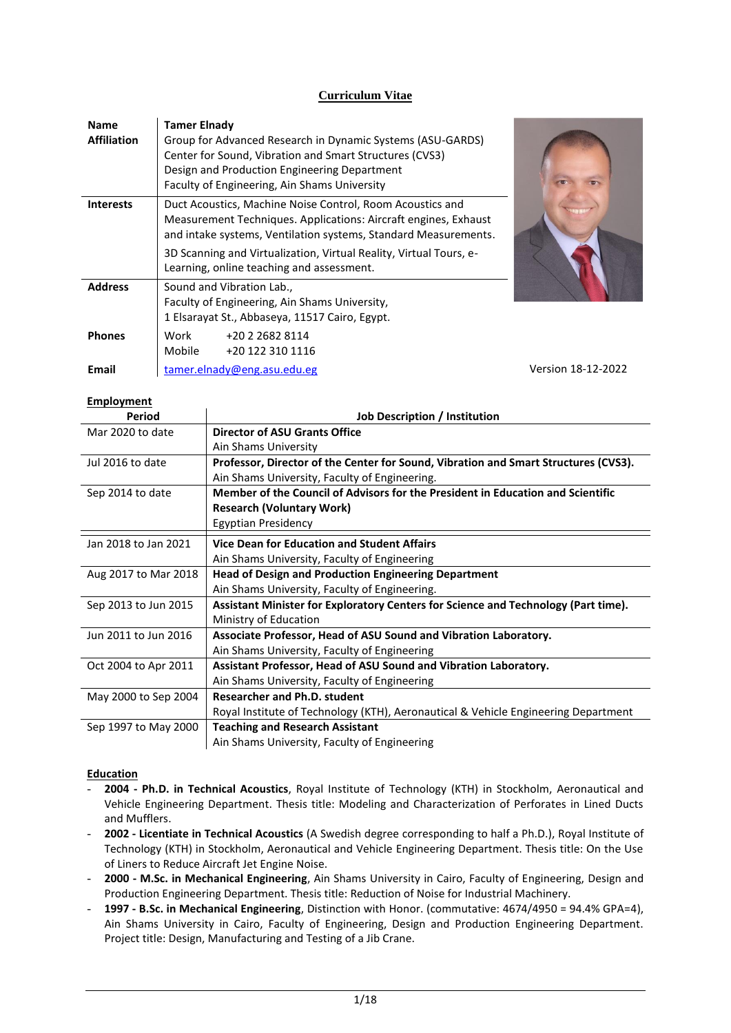# **Curriculum Vitae**

| <b>Name</b><br><b>Affiliation</b> | <b>Tamer Elnady</b><br>Group for Advanced Research in Dynamic Systems (ASU-GARDS)<br>Center for Sound, Vibration and Smart Structures (CVS3)<br>Design and Production Engineering Department<br>Faculty of Engineering, Ain Shams University                                                                       |                    |
|-----------------------------------|--------------------------------------------------------------------------------------------------------------------------------------------------------------------------------------------------------------------------------------------------------------------------------------------------------------------|--------------------|
| <b>Interests</b>                  | Duct Acoustics, Machine Noise Control, Room Acoustics and<br>Measurement Techniques. Applications: Aircraft engines, Exhaust<br>and intake systems, Ventilation systems, Standard Measurements.<br>3D Scanning and Virtualization, Virtual Reality, Virtual Tours, e-<br>Learning, online teaching and assessment. |                    |
| <b>Address</b>                    | Sound and Vibration Lab.,<br>Faculty of Engineering, Ain Shams University,<br>1 Elsarayat St., Abbaseya, 11517 Cairo, Egypt.                                                                                                                                                                                       |                    |
| <b>Phones</b>                     | Work<br>+20 2 2682 8114<br>Mobile<br>+20 122 310 1116                                                                                                                                                                                                                                                              |                    |
| Email                             | tamer.elnady@eng.asu.edu.eg                                                                                                                                                                                                                                                                                        | Version 18-12-2022 |

## **Employment**

| Period               | <b>Job Description / Institution</b>                                                |
|----------------------|-------------------------------------------------------------------------------------|
| Mar 2020 to date     | <b>Director of ASU Grants Office</b>                                                |
|                      | Ain Shams University                                                                |
| Jul 2016 to date     | Professor, Director of the Center for Sound, Vibration and Smart Structures (CVS3). |
|                      | Ain Shams University, Faculty of Engineering.                                       |
| Sep 2014 to date     | Member of the Council of Advisors for the President in Education and Scientific     |
|                      | <b>Research (Voluntary Work)</b>                                                    |
|                      | <b>Egyptian Presidency</b>                                                          |
| Jan 2018 to Jan 2021 | Vice Dean for Education and Student Affairs                                         |
|                      | Ain Shams University, Faculty of Engineering                                        |
| Aug 2017 to Mar 2018 | <b>Head of Design and Production Engineering Department</b>                         |
|                      | Ain Shams University, Faculty of Engineering.                                       |
| Sep 2013 to Jun 2015 | Assistant Minister for Exploratory Centers for Science and Technology (Part time).  |
|                      | Ministry of Education                                                               |
| Jun 2011 to Jun 2016 | Associate Professor, Head of ASU Sound and Vibration Laboratory.                    |
|                      | Ain Shams University, Faculty of Engineering                                        |
| Oct 2004 to Apr 2011 | Assistant Professor, Head of ASU Sound and Vibration Laboratory.                    |
|                      | Ain Shams University, Faculty of Engineering                                        |
| May 2000 to Sep 2004 | <b>Researcher and Ph.D. student</b>                                                 |
|                      | Royal Institute of Technology (KTH), Aeronautical & Vehicle Engineering Department  |
| Sep 1997 to May 2000 | <b>Teaching and Research Assistant</b>                                              |
|                      | Ain Shams University, Faculty of Engineering                                        |

### **Education**

- **2004 - Ph.D. in Technical Acoustics**, Royal Institute of Technology (KTH) in Stockholm, Aeronautical and Vehicle Engineering Department. Thesis title: Modeling and Characterization of Perforates in Lined Ducts and Mufflers.
- **2002 - Licentiate in Technical Acoustics** (A Swedish degree corresponding to half a Ph.D.), Royal Institute of Technology (KTH) in Stockholm, Aeronautical and Vehicle Engineering Department. Thesis title: On the Use of Liners to Reduce Aircraft Jet Engine Noise.
- **2000 - M.Sc. in Mechanical Engineering**, Ain Shams University in Cairo, Faculty of Engineering, Design and Production Engineering Department. Thesis title: Reduction of Noise for Industrial Machinery.
- **1997 - B.Sc. in Mechanical Engineering**, Distinction with Honor. (commutative: 4674/4950 = 94.4% GPA=4), Ain Shams University in Cairo, Faculty of Engineering, Design and Production Engineering Department. Project title: Design, Manufacturing and Testing of a Jib Crane.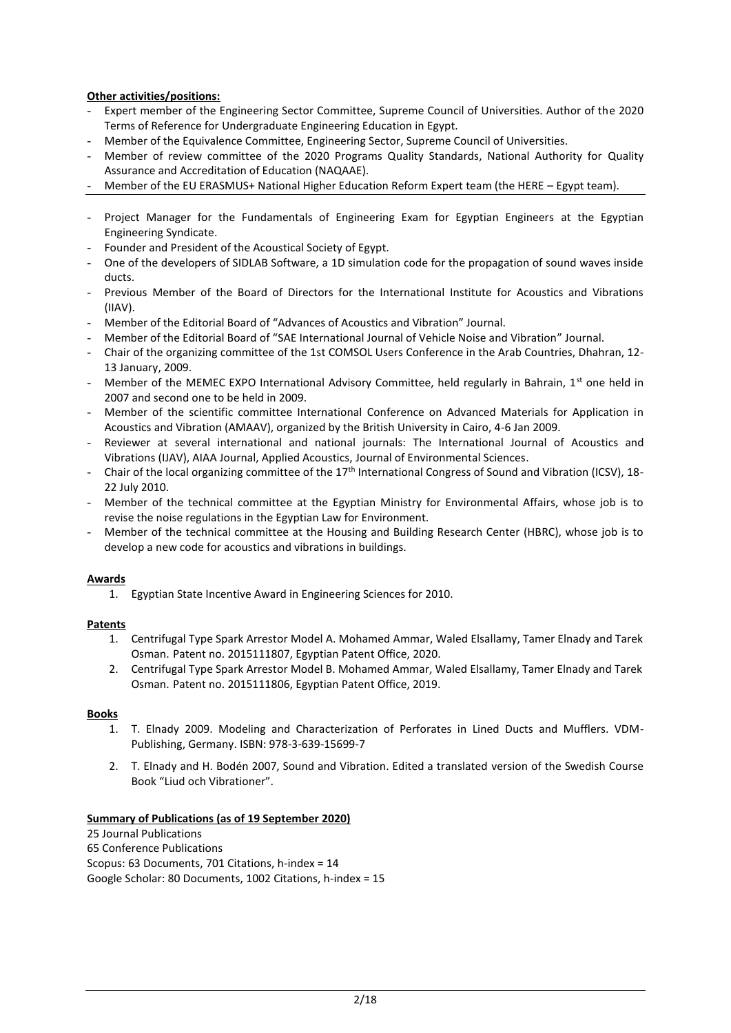## **Other activities/positions:**

- Expert member of the Engineering Sector Committee, Supreme Council of Universities. Author of the 2020 Terms of Reference for Undergraduate Engineering Education in Egypt.
- Member of the Equivalence Committee, Engineering Sector, Supreme Council of Universities.
- Member of review committee of the 2020 Programs Quality Standards, National Authority for Quality Assurance and Accreditation of Education (NAQAAE).
- Member of the EU ERASMUS+ National Higher Education Reform Expert team (the HERE Egypt team).
- Project Manager for the Fundamentals of Engineering Exam for Egyptian Engineers at the Egyptian Engineering Syndicate.
- Founder and President of the Acoustical Society of Egypt.
- One of the developers of SIDLAB Software, a 1D simulation code for the propagation of sound waves inside ducts.
- Previous Member of the Board of Directors for the International Institute for Acoustics and Vibrations (IIAV).
- Member of the Editorial Board of "Advances of Acoustics and Vibration" Journal.
- Member of the Editorial Board of "SAE International Journal of Vehicle Noise and Vibration" Journal.
- Chair of the organizing committee of the 1st COMSOL Users Conference in the Arab Countries, Dhahran, 12- 13 January, 2009.
- Member of the MEMEC EXPO International Advisory Committee, held regularly in Bahrain,  $1^{st}$  one held in 2007 and second one to be held in 2009.
- Member of the scientific committee International Conference on Advanced Materials for Application in Acoustics and Vibration (AMAAV), organized by the British University in Cairo, 4-6 Jan 2009.
- Reviewer at several international and national journals: The International Journal of Acoustics and Vibrations (IJAV), AIAA Journal, Applied Acoustics, Journal of Environmental Sciences.
- Chair of the local organizing committee of the 17<sup>th</sup> International Congress of Sound and Vibration (ICSV), 18-22 July 2010.
- Member of the technical committee at the Egyptian Ministry for Environmental Affairs, whose job is to revise the noise regulations in the Egyptian Law for Environment.
- Member of the technical committee at the Housing and Building Research Center (HBRC), whose job is to develop a new code for acoustics and vibrations in buildings.

### **Awards**

1. Egyptian State Incentive Award in Engineering Sciences for 2010.

### **Patents**

- 1. Centrifugal Type Spark Arrestor Model A. Mohamed Ammar, Waled Elsallamy, Tamer Elnady and Tarek Osman. Patent no. 2015111807, Egyptian Patent Office, 2020.
- 2. Centrifugal Type Spark Arrestor Model B. Mohamed Ammar, Waled Elsallamy, Tamer Elnady and Tarek Osman. Patent no. 2015111806, Egyptian Patent Office, 2019.

### **Books**

- 1. T. Elnady 2009. Modeling and Characterization of Perforates in Lined Ducts and Mufflers. VDM-Publishing, Germany. ISBN: 978-3-639-15699-7
- 2. T. Elnady and H. Bodén 2007, Sound and Vibration. Edited a translated version of the Swedish Course Book "Liud och Vibrationer".

### **Summary of Publications (as of 19 September 2020)**

25 Journal Publications 65 Conference Publications Scopus: 63 Documents, 701 Citations, h-index = 14 Google Scholar: 80 Documents, 1002 Citations, h-index = 15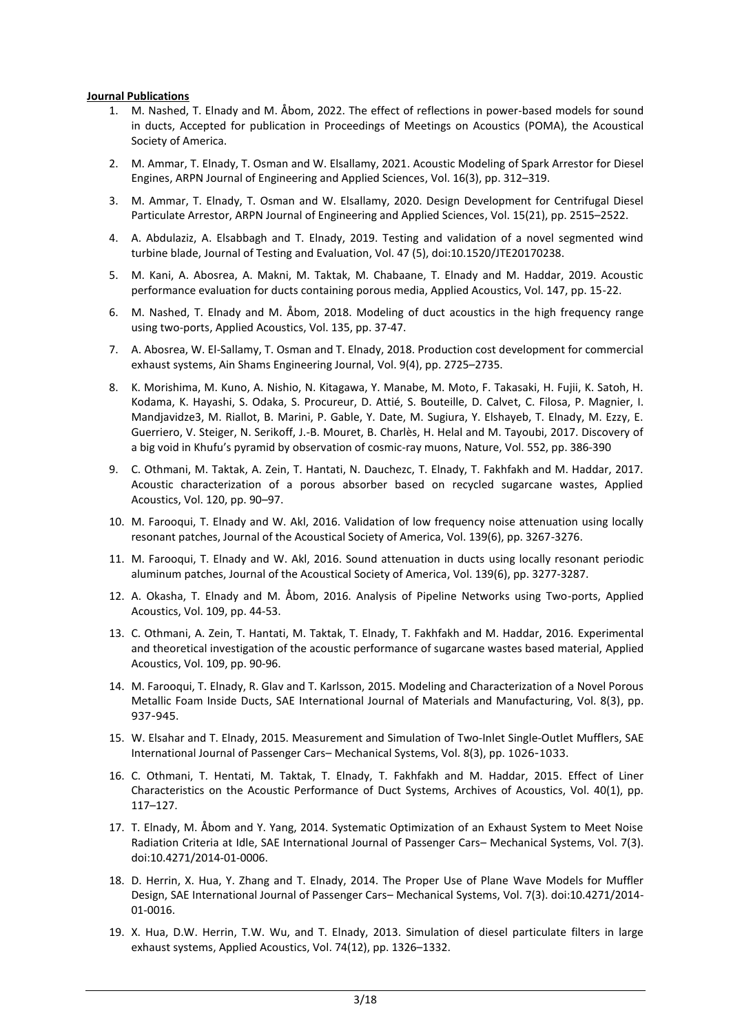### **Journal Publications**

- 1. M. Nashed, T. Elnady and M. Åbom, 2022. The effect of reflections in power-based models for sound in ducts, Accepted for publication in Proceedings of Meetings on Acoustics (POMA), the Acoustical Society of America.
- 2. M. Ammar, T. Elnady, T. Osman and W. Elsallamy, 2021. Acoustic Modeling of Spark Arrestor for Diesel Engines, ARPN Journal of Engineering and Applied Sciences, Vol. 16(3), pp. 312–319.
- 3. M. Ammar, T. Elnady, T. Osman and W. Elsallamy, 2020. Design Development for Centrifugal Diesel Particulate Arrestor, ARPN Journal of Engineering and Applied Sciences, Vol. 15(21), pp. 2515–2522.
- 4. A. Abdulaziz, A. Elsabbagh and T. Elnady, 2019. Testing and validation of a novel segmented wind turbine blade, Journal of Testing and Evaluation, Vol. 47 (5), doi:10.1520/JTE20170238.
- 5. M. Kani, A. Abosrea, A. Makni, M. Taktak, M. Chabaane, T. Elnady and M. Haddar, 2019. Acoustic performance evaluation for ducts containing porous media, Applied Acoustics, Vol. 147, pp. 15-22.
- 6. M. Nashed, T. Elnady and M. Åbom, 2018. Modeling of duct acoustics in the high frequency range using two-ports, Applied Acoustics, Vol. 135, pp. 37-47.
- 7. A. Abosrea, W. El-Sallamy, T. Osman and T. Elnady, 2018. Production cost development for commercial exhaust systems, Ain Shams Engineering Journal, Vol. 9(4), pp. 2725–2735.
- 8. K. Morishima, M. Kuno, A. Nishio, N. Kitagawa, Y. Manabe, M. Moto, F. Takasaki, H. Fujii, K. Satoh, H. Kodama, K. Hayashi, S. Odaka, S. Procureur, D. Attié, S. Bouteille, D. Calvet, C. Filosa, P. Magnier, I. Mandjavidze3, M. Riallot, B. Marini, P. Gable, Y. Date, M. Sugiura, Y. Elshayeb, T. Elnady, M. Ezzy, E. Guerriero, V. Steiger, N. Serikoff, J.-B. Mouret, B. Charlès, H. Helal and M. Tayoubi, 2017. Discovery of a big void in Khufu's pyramid by observation of cosmic-ray muons, Nature, Vol. 552, pp. 386-390
- 9. C. Othmani, M. Taktak, A. Zein, T. Hantati, N. Dauchezc, T. Elnady, T. Fakhfakh and M. Haddar, 2017. Acoustic characterization of a porous absorber based on recycled sugarcane wastes, Applied Acoustics, Vol. 120, pp. 90–97.
- 10. M. Farooqui, T. Elnady and W. Akl, 2016. Validation of low frequency noise attenuation using locally resonant patches, Journal of the Acoustical Society of America, Vol. 139(6), pp. 3267-3276.
- 11. M. Farooqui, T. Elnady and W. Akl, 2016. Sound attenuation in ducts using locally resonant periodic aluminum patches, Journal of the Acoustical Society of America, Vol. 139(6), pp. 3277-3287.
- 12. A. Okasha, T. Elnady and M. Åbom, 2016. Analysis of Pipeline Networks using Two-ports, Applied Acoustics, Vol. 109, pp. 44-53.
- 13. C. Othmani, A. Zein, T. Hantati, M. Taktak, T. Elnady, T. Fakhfakh and M. Haddar, 2016. Experimental and theoretical investigation of the acoustic performance of sugarcane wastes based material, Applied Acoustics, Vol. 109, pp. 90-96.
- 14. M. Farooqui, T. Elnady, R. Glav and T. Karlsson, 2015. Modeling and Characterization of a Novel Porous Metallic Foam Inside Ducts, SAE International Journal of Materials and Manufacturing, Vol. 8(3), pp. 937-945.
- 15. W. Elsahar and T. Elnady, 2015. Measurement and Simulation of Two-Inlet Single-Outlet Mufflers, SAE International Journal of Passenger Cars– Mechanical Systems, Vol. 8(3), pp. 1026-1033.
- 16. C. Othmani, T. Hentati, M. Taktak, T. Elnady, T. Fakhfakh and M. Haddar, 2015. Effect of Liner Characteristics on the Acoustic Performance of Duct Systems, Archives of Acoustics, Vol. 40(1), pp. 117–127.
- 17. T. Elnady, M. Åbom and Y. Yang, 2014. Systematic Optimization of an Exhaust System to Meet Noise Radiation Criteria at Idle, SAE International Journal of Passenger Cars– Mechanical Systems, Vol. 7(3). doi:10.4271/2014-01-0006.
- 18. D. Herrin, X. Hua, Y. Zhang and T. Elnady, 2014. The Proper Use of Plane Wave Models for Muffler Design, SAE International Journal of Passenger Cars– Mechanical Systems, Vol. 7(3). doi:10.4271/2014- 01-0016.
- 19. X. Hua, D.W. Herrin, T.W. Wu, and T. Elnady, 2013. Simulation of diesel particulate filters in large exhaust systems, Applied Acoustics, Vol. 74(12), pp. 1326–1332.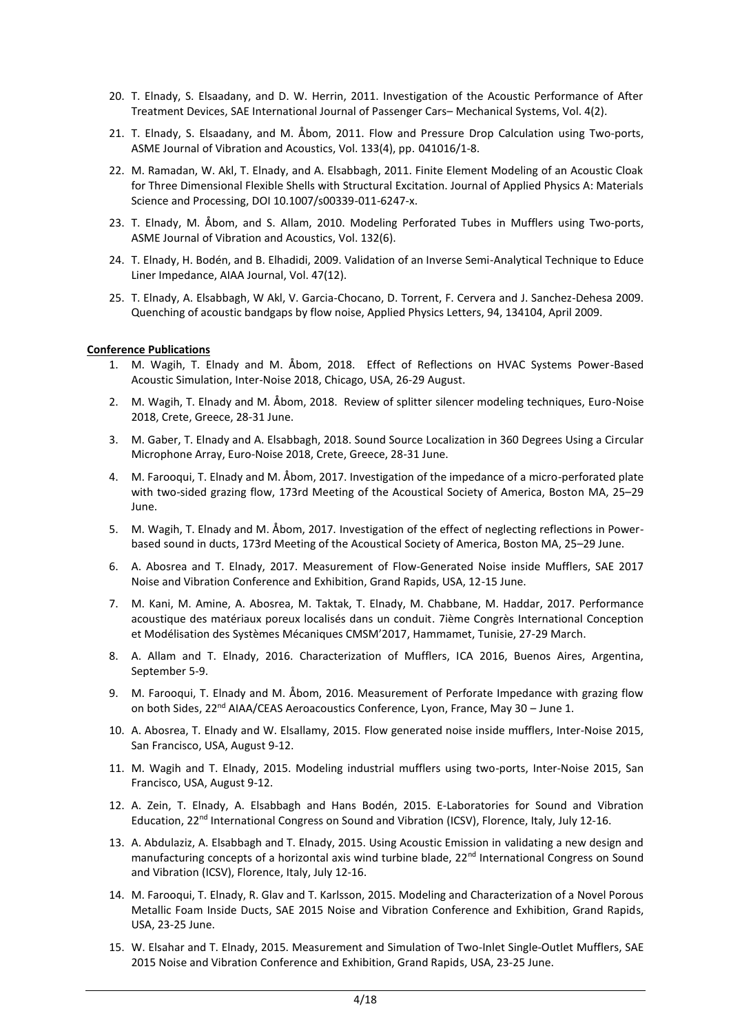- 20. T. Elnady, S. Elsaadany, and D. W. Herrin, 2011. Investigation of the Acoustic Performance of After Treatment Devices, SAE International Journal of Passenger Cars– Mechanical Systems, Vol. 4(2).
- 21. T. Elnady, S. Elsaadany, and M. Åbom, 2011. Flow and Pressure Drop Calculation using Two-ports, ASME Journal of Vibration and Acoustics, Vol. 133(4), pp. 041016/1-8.
- 22. M. Ramadan, W. Akl, T. Elnady, and A. Elsabbagh, 2011. Finite Element Modeling of an Acoustic Cloak for Three Dimensional Flexible Shells with Structural Excitation. Journal of Applied Physics A: Materials Science and Processing, DOI 10.1007/s00339-011-6247-x.
- 23. T. Elnady, M. Åbom, and S. Allam, 2010. Modeling Perforated Tubes in Mufflers using Two-ports, ASME Journal of Vibration and Acoustics, Vol. 132(6).
- 24. T. Elnady, H. Bodén, and B. Elhadidi, 2009. Validation of an Inverse Semi-Analytical Technique to Educe Liner Impedance, AIAA Journal, Vol. 47(12).
- 25. T. Elnady, A. Elsabbagh, W Akl, V. Garcia-Chocano, D. Torrent, F. Cervera and J. Sanchez-Dehesa 2009. Quenching of acoustic bandgaps by flow noise, Applied Physics Letters, 94, 134104, April 2009.

#### **Conference Publications**

- 1. M. Wagih, T. Elnady and M. Åbom, 2018. Effect of Reflections on HVAC Systems Power-Based Acoustic Simulation, Inter-Noise 2018, Chicago, USA, 26-29 August.
- 2. M. Wagih, T. Elnady and M. Åbom, 2018. Review of splitter silencer modeling techniques, Euro-Noise 2018, Crete, Greece, 28-31 June.
- 3. M. Gaber, T. Elnady and A. Elsabbagh, 2018. Sound Source Localization in 360 Degrees Using a Circular Microphone Array, Euro-Noise 2018, Crete, Greece, 28-31 June.
- 4. M. Farooqui, T. Elnady and M. Åbom, 2017. Investigation of the impedance of a micro-perforated plate with two-sided grazing flow, 173rd Meeting of the Acoustical Society of America, Boston MA, 25–29 June.
- 5. M. Wagih, T. Elnady and M. Åbom, 2017. Investigation of the effect of neglecting reflections in Powerbased sound in ducts, 173rd Meeting of the Acoustical Society of America, Boston MA, 25–29 June.
- 6. A. Abosrea and T. Elnady, 2017. Measurement of Flow-Generated Noise inside Mufflers, SAE 2017 Noise and Vibration Conference and Exhibition, Grand Rapids, USA, 12-15 June.
- 7. M. Kani, M. Amine, A. Abosrea, M. Taktak, T. Elnady, M. Chabbane, M. Haddar, 2017. Performance acoustique des matériaux poreux localisés dans un conduit. 7ième Congrès International Conception et Modélisation des Systèmes Mécaniques CMSM'2017, Hammamet, Tunisie, 27-29 March.
- 8. A. Allam and T. Elnady, 2016. Characterization of Mufflers, ICA 2016, Buenos Aires, Argentina, September 5-9.
- 9. M. Farooqui, T. Elnady and M. Åbom, 2016. Measurement of Perforate Impedance with grazing flow on both Sides,  $22^{nd}$  AIAA/CEAS Aeroacoustics Conference, Lyon, France, May 30 – June 1.
- 10. A. Abosrea, T. Elnady and W. Elsallamy, 2015. Flow generated noise inside mufflers, Inter-Noise 2015, San Francisco, USA, August 9-12.
- 11. M. Wagih and T. Elnady, 2015. Modeling industrial mufflers using two-ports, Inter-Noise 2015, San Francisco, USA, August 9-12.
- 12. A. Zein, T. Elnady, A. Elsabbagh and Hans Bodén, 2015. E-Laboratories for Sound and Vibration Education, 22<sup>nd</sup> International Congress on Sound and Vibration (ICSV), Florence, Italy, July 12-16.
- 13. A. Abdulaziz, A. Elsabbagh and T. Elnady, 2015. Using Acoustic Emission in validating a new design and manufacturing concepts of a horizontal axis wind turbine blade,  $22<sup>nd</sup>$  International Congress on Sound and Vibration (ICSV), Florence, Italy, July 12-16.
- 14. M. Farooqui, T. Elnady, R. Glav and T. Karlsson, 2015. Modeling and Characterization of a Novel Porous Metallic Foam Inside Ducts, SAE 2015 Noise and Vibration Conference and Exhibition, Grand Rapids, USA, 23-25 June.
- 15. W. Elsahar and T. Elnady, 2015. Measurement and Simulation of Two-Inlet Single-Outlet Mufflers, SAE 2015 Noise and Vibration Conference and Exhibition, Grand Rapids, USA, 23-25 June.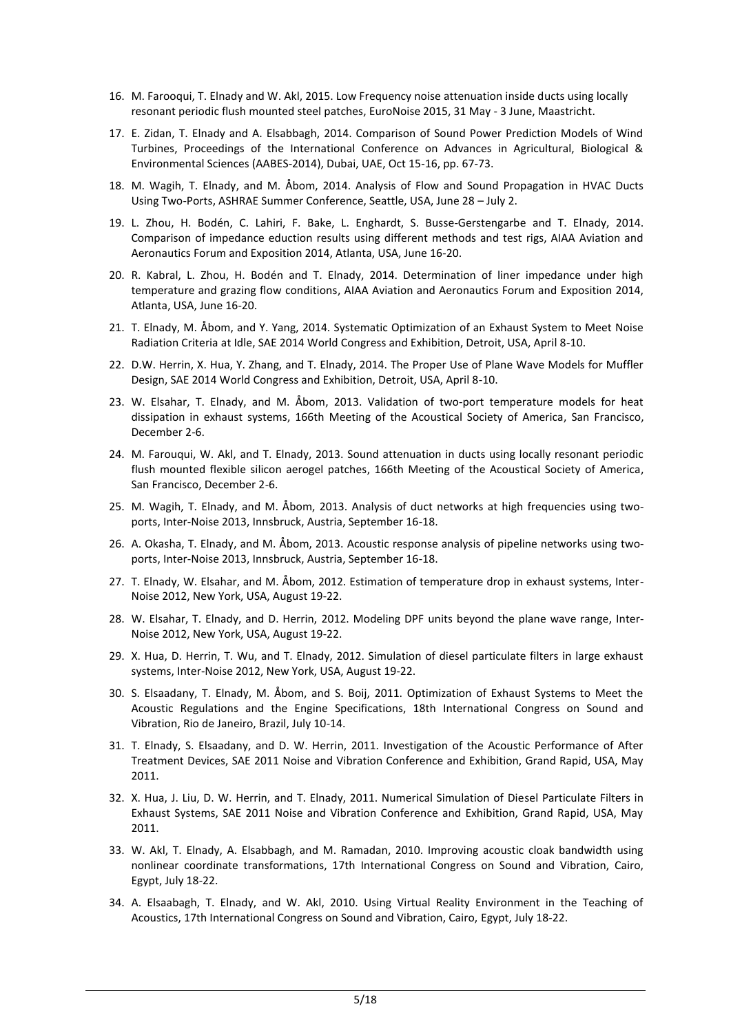- 16. M. Farooqui, T. Elnady and W. Akl, 2015. Low Frequency noise attenuation inside ducts using locally resonant periodic flush mounted steel patches, EuroNoise 2015, 31 May - 3 June, Maastricht.
- 17. E. Zidan, T. Elnady and A. Elsabbagh, 2014. Comparison of Sound Power Prediction Models of Wind Turbines, Proceedings of the International Conference on Advances in Agricultural, Biological & Environmental Sciences (AABES-2014), Dubai, UAE, Oct 15-16, pp. 67-73.
- 18. M. Wagih, T. Elnady, and M. Åbom, 2014. Analysis of Flow and Sound Propagation in HVAC Ducts Using Two-Ports, ASHRAE Summer Conference, Seattle, USA, June 28 – July 2.
- 19. L. Zhou, H. Bodén, C. Lahiri, F. Bake, L. Enghardt, S. Busse-Gerstengarbe and T. Elnady, 2014. Comparison of impedance eduction results using different methods and test rigs, AIAA Aviation and Aeronautics Forum and Exposition 2014, Atlanta, USA, June 16-20.
- 20. R. Kabral, L. Zhou, H. Bodén and T. Elnady, 2014. Determination of liner impedance under high temperature and grazing flow conditions, AIAA Aviation and Aeronautics Forum and Exposition 2014, Atlanta, USA, June 16-20.
- 21. T. Elnady, M. Åbom, and Y. Yang, 2014. Systematic Optimization of an Exhaust System to Meet Noise Radiation Criteria at Idle, SAE 2014 World Congress and Exhibition, Detroit, USA, April 8-10.
- 22. D.W. Herrin, X. Hua, Y. Zhang, and T. Elnady, 2014. The Proper Use of Plane Wave Models for Muffler Design, SAE 2014 World Congress and Exhibition, Detroit, USA, April 8-10.
- 23. W. Elsahar, T. Elnady, and M. Åbom, 2013. Validation of two-port temperature models for heat dissipation in exhaust systems, 166th Meeting of the Acoustical Society of America, San Francisco, December 2-6.
- 24. M. Farouqui, W. Akl, and T. Elnady, 2013. Sound attenuation in ducts using locally resonant periodic flush mounted flexible silicon aerogel patches, 166th Meeting of the Acoustical Society of America, San Francisco, December 2-6.
- 25. M. Wagih, T. Elnady, and M. Åbom, 2013. Analysis of duct networks at high frequencies using twoports, Inter-Noise 2013, Innsbruck, Austria, September 16-18.
- 26. A. Okasha, T. Elnady, and M. Åbom, 2013. Acoustic response analysis of pipeline networks using twoports, Inter-Noise 2013, Innsbruck, Austria, September 16-18.
- 27. T. Elnady, W. Elsahar, and M. Åbom, 2012. Estimation of temperature drop in exhaust systems, Inter-Noise 2012, New York, USA, August 19-22.
- 28. W. Elsahar, T. Elnady, and D. Herrin, 2012. Modeling DPF units beyond the plane wave range, Inter-Noise 2012, New York, USA, August 19-22.
- 29. X. Hua, D. Herrin, T. Wu, and T. Elnady, 2012. Simulation of diesel particulate filters in large exhaust systems, Inter-Noise 2012, New York, USA, August 19-22.
- 30. S. Elsaadany, T. Elnady, M. Åbom, and S. Boij, 2011. Optimization of Exhaust Systems to Meet the Acoustic Regulations and the Engine Specifications, 18th International Congress on Sound and Vibration, Rio de Janeiro, Brazil, July 10-14.
- 31. T. Elnady, S. Elsaadany, and D. W. Herrin, 2011. Investigation of the Acoustic Performance of After Treatment Devices, SAE 2011 Noise and Vibration Conference and Exhibition, Grand Rapid, USA, May 2011.
- 32. X. Hua, J. Liu, D. W. Herrin, and T. Elnady, 2011. Numerical Simulation of Diesel Particulate Filters in Exhaust Systems, SAE 2011 Noise and Vibration Conference and Exhibition, Grand Rapid, USA, May 2011.
- 33. W. Akl, T. Elnady, A. Elsabbagh, and M. Ramadan, 2010. Improving acoustic cloak bandwidth using nonlinear coordinate transformations, 17th International Congress on Sound and Vibration, Cairo, Egypt, July 18-22.
- 34. A. Elsaabagh, T. Elnady, and W. Akl, 2010. Using Virtual Reality Environment in the Teaching of Acoustics, 17th International Congress on Sound and Vibration, Cairo, Egypt, July 18-22.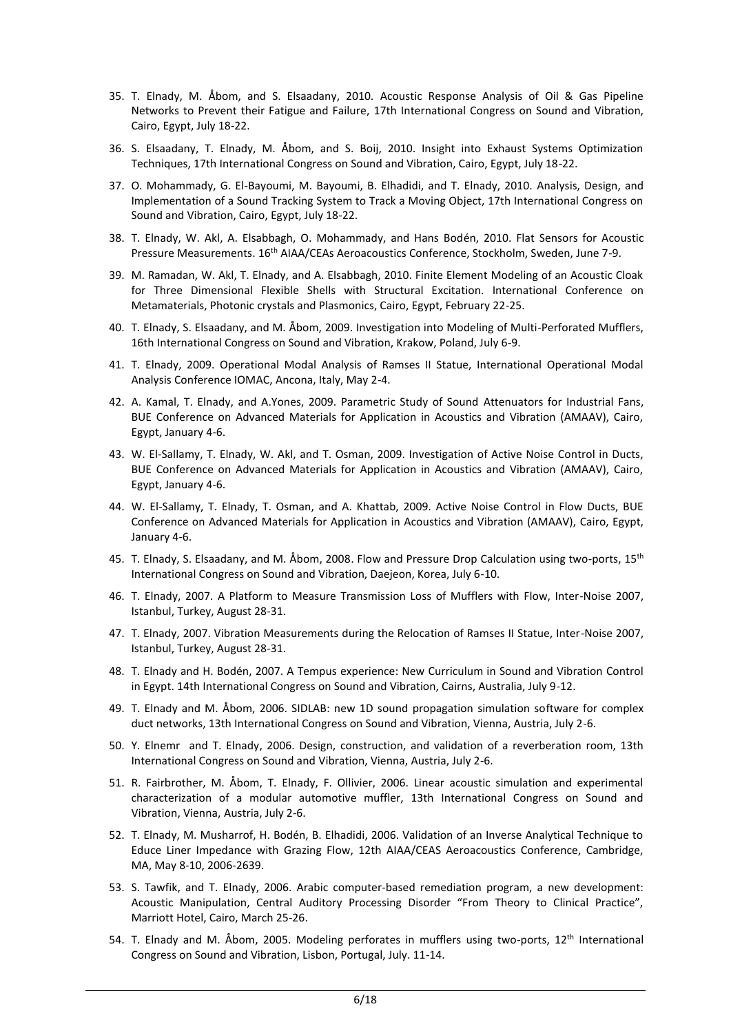- 35. T. Elnady, M. Åbom, and S. Elsaadany, 2010. Acoustic Response Analysis of Oil & Gas Pipeline Networks to Prevent their Fatigue and Failure, 17th International Congress on Sound and Vibration, Cairo, Egypt, July 18-22.
- 36. S. Elsaadany, T. Elnady, M. Åbom, and S. Boij, 2010. Insight into Exhaust Systems Optimization Techniques, 17th International Congress on Sound and Vibration, Cairo, Egypt, July 18-22.
- 37. O. Mohammady, G. El-Bayoumi, M. Bayoumi, B. Elhadidi, and T. Elnady, 2010. Analysis, Design, and Implementation of a Sound Tracking System to Track a Moving Object, 17th International Congress on Sound and Vibration, Cairo, Egypt, July 18-22.
- 38. T. Elnady, W. Akl, A. Elsabbagh, O. Mohammady, and Hans Bodén, 2010. Flat Sensors for Acoustic Pressure Measurements. 16th AIAA/CEAs Aeroacoustics Conference, Stockholm, Sweden, June 7-9.
- 39. M. Ramadan, W. Akl, T. Elnady, and A. Elsabbagh, 2010. Finite Element Modeling of an Acoustic Cloak for Three Dimensional Flexible Shells with Structural Excitation. International Conference on Metamaterials, Photonic crystals and Plasmonics, Cairo, Egypt, February 22-25.
- 40. T. Elnady, S. Elsaadany, and M. Åbom, 2009. Investigation into Modeling of Multi-Perforated Mufflers, 16th International Congress on Sound and Vibration, Krakow, Poland, July 6-9.
- 41. T. Elnady, 2009. Operational Modal Analysis of Ramses II Statue, International Operational Modal Analysis Conference IOMAC, Ancona, Italy, May 2-4.
- 42. A. Kamal, T. Elnady, and A.Yones, 2009. Parametric Study of Sound Attenuators for Industrial Fans, BUE Conference on Advanced Materials for Application in Acoustics and Vibration (AMAAV), Cairo, Egypt, January 4-6.
- 43. W. El-Sallamy, T. Elnady, W. Akl, and T. Osman, 2009. Investigation of Active Noise Control in Ducts, BUE Conference on Advanced Materials for Application in Acoustics and Vibration (AMAAV), Cairo, Egypt, January 4-6.
- 44. W. El-Sallamy, T. Elnady, T. Osman, and A. Khattab, 2009. Active Noise Control in Flow Ducts, BUE Conference on Advanced Materials for Application in Acoustics and Vibration (AMAAV), Cairo, Egypt, January 4-6.
- 45. T. Elnady, S. Elsaadany, and M. Åbom, 2008. Flow and Pressure Drop Calculation using two-ports, 15<sup>th</sup> International Congress on Sound and Vibration, Daejeon, Korea, July 6-10.
- 46. T. Elnady, 2007. A Platform to Measure Transmission Loss of Mufflers with Flow, Inter-Noise 2007, Istanbul, Turkey, August 28-31.
- 47. T. Elnady, 2007. Vibration Measurements during the Relocation of Ramses II Statue, Inter-Noise 2007, Istanbul, Turkey, August 28-31.
- 48. T. Elnady and H. Bodén, 2007. A Tempus experience: New Curriculum in Sound and Vibration Control in Egypt. 14th International Congress on Sound and Vibration, Cairns, Australia, July 9-12.
- 49. T. Elnady and M. Åbom, 2006. SIDLAB: new 1D sound propagation simulation software for complex duct networks, 13th International Congress on Sound and Vibration, Vienna, Austria, July 2-6.
- 50. Y. Elnemr and T. Elnady, 2006. Design, construction, and validation of a reverberation room, 13th International Congress on Sound and Vibration, Vienna, Austria, July 2-6.
- 51. R. Fairbrother, M. Åbom, T. Elnady, F. Ollivier, 2006. Linear acoustic simulation and experimental characterization of a modular automotive muffler, 13th International Congress on Sound and Vibration, Vienna, Austria, July 2-6.
- 52. T. Elnady, M. Musharrof, H. Bodén, B. Elhadidi, 2006. Validation of an Inverse Analytical Technique to Educe Liner Impedance with Grazing Flow, 12th AIAA/CEAS Aeroacoustics Conference, Cambridge, MA, May 8-10, 2006-2639.
- 53. S. Tawfik, and T. Elnady, 2006. Arabic computer-based remediation program, a new development: Acoustic Manipulation, Central Auditory Processing Disorder "From Theory to Clinical Practice", Marriott Hotel, Cairo, March 25-26.
- 54. T. Elnady and M. Åbom, 2005. Modeling perforates in mufflers using two-ports, 12<sup>th</sup> International Congress on Sound and Vibration, Lisbon, Portugal, July. 11-14.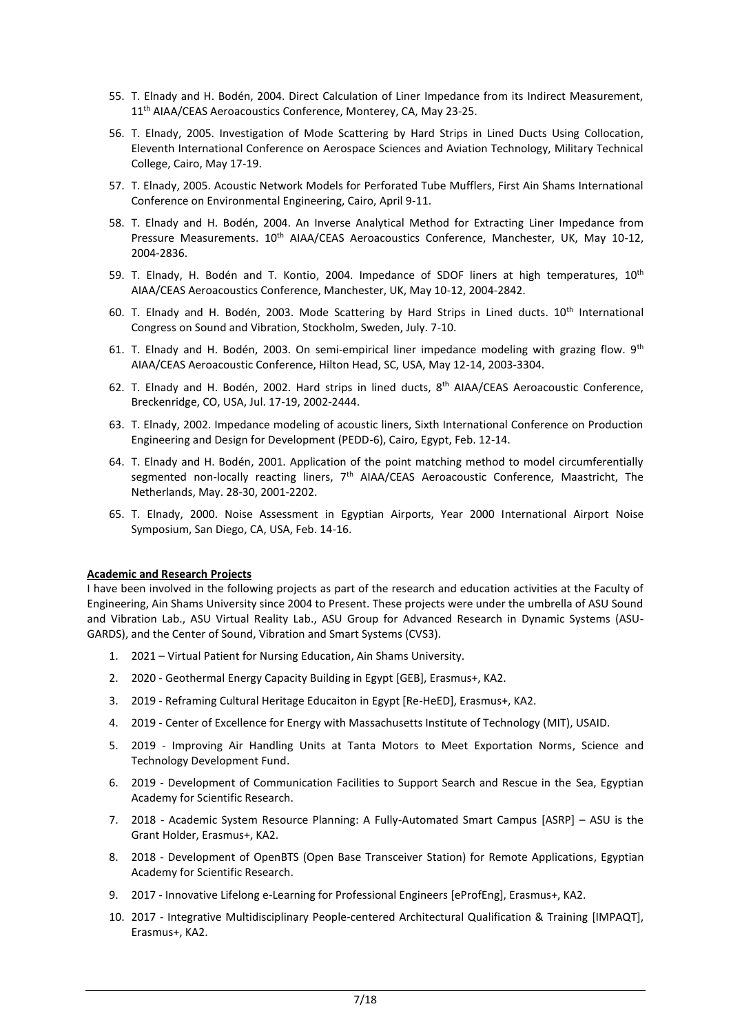- 55. T. Elnady and H. Bodén, 2004. Direct Calculation of Liner Impedance from its Indirect Measurement, 11<sup>th</sup> AIAA/CEAS Aeroacoustics Conference, Monterey, CA, May 23-25.
- 56. T. Elnady, 2005. Investigation of Mode Scattering by Hard Strips in Lined Ducts Using Collocation, Eleventh International Conference on Aerospace Sciences and Aviation Technology, Military Technical College, Cairo, May 17-19.
- 57. T. Elnady, 2005. Acoustic Network Models for Perforated Tube Mufflers, First Ain Shams International Conference on Environmental Engineering, Cairo, April 9-11.
- 58. T. Elnady and H. Bodén, 2004. An Inverse Analytical Method for Extracting Liner Impedance from Pressure Measurements. 10<sup>th</sup> AIAA/CEAS Aeroacoustics Conference, Manchester, UK, May 10-12, 2004-2836.
- 59. T. Elnady, H. Bodén and T. Kontio, 2004. Impedance of SDOF liners at high temperatures, 10<sup>th</sup> AIAA/CEAS Aeroacoustics Conference, Manchester, UK, May 10-12, 2004-2842.
- 60. T. Elnady and H. Bodén, 2003. Mode Scattering by Hard Strips in Lined ducts. 10<sup>th</sup> International Congress on Sound and Vibration, Stockholm, Sweden, July. 7-10.
- 61. T. Elnady and H. Bodén, 2003. On semi-empirical liner impedance modeling with grazing flow.  $9<sup>th</sup>$ AIAA/CEAS Aeroacoustic Conference, Hilton Head, SC, USA, May 12-14, 2003-3304.
- 62. T. Elnady and H. Bodén, 2002. Hard strips in lined ducts, 8th AIAA/CEAS Aeroacoustic Conference, Breckenridge, CO, USA, Jul. 17-19, 2002-2444.
- 63. T. Elnady, 2002. Impedance modeling of acoustic liners, Sixth International Conference on Production Engineering and Design for Development (PEDD-6), Cairo, Egypt, Feb. 12-14.
- 64. T. Elnady and H. Bodén, 2001. Application of the point matching method to model circumferentially segmented non-locally reacting liners, 7<sup>th</sup> AIAA/CEAS Aeroacoustic Conference, Maastricht, The Netherlands, May. 28-30, 2001-2202.
- 65. T. Elnady, 2000. Noise Assessment in Egyptian Airports, Year 2000 International Airport Noise Symposium, San Diego, CA, USA, Feb. 14-16.

### **Academic and Research Projects**

I have been involved in the following projects as part of the research and education activities at the Faculty of Engineering, Ain Shams University since 2004 to Present. These projects were under the umbrella of ASU Sound and Vibration Lab., ASU Virtual Reality Lab., ASU Group for Advanced Research in Dynamic Systems (ASU-GARDS), and the Center of Sound, Vibration and Smart Systems (CVS3).

- 1. 2021 Virtual Patient for Nursing Education, Ain Shams University.
- 2. 2020 Geothermal Energy Capacity Building in Egypt [GEB], Erasmus+, KA2.
- 3. 2019 Reframing Cultural Heritage Educaiton in Egypt [Re-HeED], Erasmus+, KA2.
- 4. 2019 Center of Excellence for Energy with Massachusetts Institute of Technology (MIT), USAID.
- 5. 2019 Improving Air Handling Units at Tanta Motors to Meet Exportation Norms, Science and Technology Development Fund.
- 6. 2019 Development of Communication Facilities to Support Search and Rescue in the Sea, Egyptian Academy for Scientific Research.
- 7. 2018 Academic System Resource Planning: A Fully-Automated Smart Campus [ASRP] ASU is the Grant Holder, Erasmus+, KA2.
- 8. 2018 Development of OpenBTS (Open Base Transceiver Station) for Remote Applications, Egyptian Academy for Scientific Research.
- 9. 2017 Innovative Lifelong e-Learning for Professional Engineers [eProfEng], Erasmus+, KA2.
- 10. 2017 Integrative Multidisciplinary People-centered Architectural Qualification & Training [IMPAQT], Erasmus+, KA2.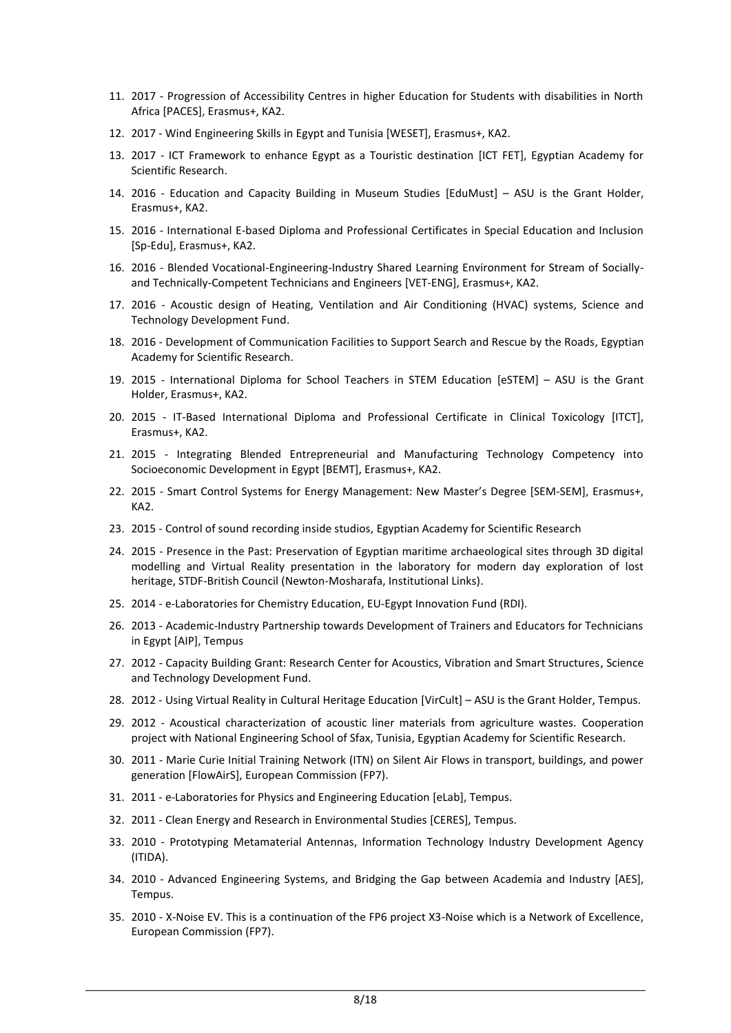- 11. 2017 Progression of Accessibility Centres in higher Education for Students with disabilities in North Africa [PACES], Erasmus+, KA2.
- 12. 2017 Wind Engineering Skills in Egypt and Tunisia [WESET], Erasmus+, KA2.
- 13. 2017 ICT Framework to enhance Egypt as a Touristic destination [ICT FET], Egyptian Academy for Scientific Research.
- 14. 2016 Education and Capacity Building in Museum Studies [EduMust] ASU is the Grant Holder, Erasmus+, KA2.
- 15. 2016 International E-based Diploma and Professional Certificates in Special Education and Inclusion [Sp-Edu], Erasmus+, KA2.
- 16. 2016 Blended Vocational-Engineering-Industry Shared Learning Environment for Stream of Sociallyand Technically-Competent Technicians and Engineers [VET-ENG], Erasmus+, KA2.
- 17. 2016 Acoustic design of Heating, Ventilation and Air Conditioning (HVAC) systems, Science and Technology Development Fund.
- 18. 2016 Development of Communication Facilities to Support Search and Rescue by the Roads, Egyptian Academy for Scientific Research.
- 19. 2015 International Diploma for School Teachers in STEM Education [eSTEM] ASU is the Grant Holder, Erasmus+, KA2.
- 20. 2015 IT-Based International Diploma and Professional Certificate in Clinical Toxicology [ITCT], Erasmus+, KA2.
- 21. 2015 Integrating Blended Entrepreneurial and Manufacturing Technology Competency into Socioeconomic Development in Egypt [BEMT], Erasmus+, KA2.
- 22. 2015 Smart Control Systems for Energy Management: New Master's Degree [SEM-SEM], Erasmus+, KA2.
- 23. 2015 Control of sound recording inside studios, Egyptian Academy for Scientific Research
- 24. 2015 Presence in the Past: Preservation of Egyptian maritime archaeological sites through 3D digital modelling and Virtual Reality presentation in the laboratory for modern day exploration of lost heritage, STDF-British Council (Newton-Mosharafa, Institutional Links).
- 25. 2014 e-Laboratories for Chemistry Education, EU-Egypt Innovation Fund (RDI).
- 26. 2013 Academic-Industry Partnership towards Development of Trainers and Educators for Technicians in Egypt [AIP], Tempus
- 27. 2012 Capacity Building Grant: Research Center for Acoustics, Vibration and Smart Structures, Science and Technology Development Fund.
- 28. 2012 Using Virtual Reality in Cultural Heritage Education [VirCult] ASU is the Grant Holder, Tempus.
- 29. 2012 Acoustical characterization of acoustic liner materials from agriculture wastes. Cooperation project with National Engineering School of Sfax, Tunisia, Egyptian Academy for Scientific Research.
- 30. 2011 Marie Curie Initial Training Network (ITN) on Silent Air Flows in transport, buildings, and power generation [FlowAirS], European Commission (FP7).
- 31. 2011 e-Laboratories for Physics and Engineering Education [eLab], Tempus.
- 32. 2011 Clean Energy and Research in Environmental Studies [CERES], Tempus.
- 33. 2010 Prototyping Metamaterial Antennas, Information Technology Industry Development Agency (ITIDA).
- 34. 2010 Advanced Engineering Systems, and Bridging the Gap between Academia and Industry [AES], Tempus.
- 35. 2010 X-Noise EV. This is a continuation of the FP6 project X3-Noise which is a Network of Excellence, European Commission (FP7).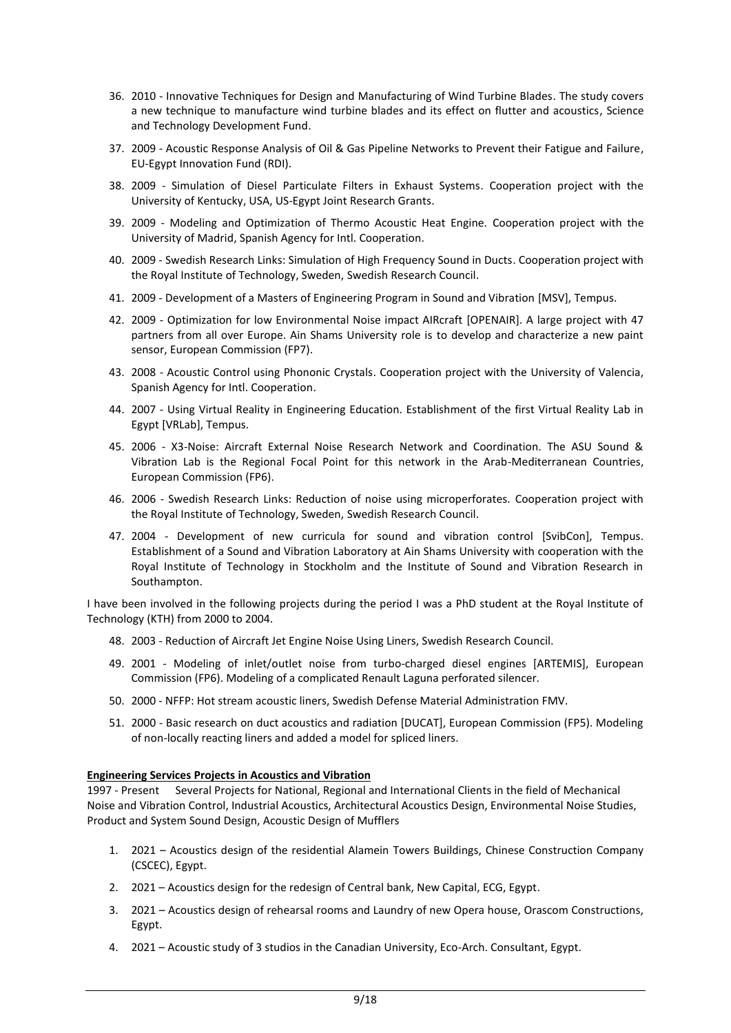- 36. 2010 Innovative Techniques for Design and Manufacturing of Wind Turbine Blades. The study covers a new technique to manufacture wind turbine blades and its effect on flutter and acoustics, Science and Technology Development Fund.
- 37. 2009 Acoustic Response Analysis of Oil & Gas Pipeline Networks to Prevent their Fatigue and Failure, EU-Egypt Innovation Fund (RDI).
- 38. 2009 Simulation of Diesel Particulate Filters in Exhaust Systems. Cooperation project with the University of Kentucky, USA, US-Egypt Joint Research Grants.
- 39. 2009 Modeling and Optimization of Thermo Acoustic Heat Engine. Cooperation project with the University of Madrid, Spanish Agency for Intl. Cooperation.
- 40. 2009 Swedish Research Links: Simulation of High Frequency Sound in Ducts. Cooperation project with the Royal Institute of Technology, Sweden, Swedish Research Council.
- 41. 2009 Development of a Masters of Engineering Program in Sound and Vibration [MSV], Tempus.
- 42. 2009 Optimization for low Environmental Noise impact AIRcraft [OPENAIR]. A large project with 47 partners from all over Europe. Ain Shams University role is to develop and characterize a new paint sensor, European Commission (FP7).
- 43. 2008 Acoustic Control using Phononic Crystals. Cooperation project with the University of Valencia, Spanish Agency for Intl. Cooperation.
- 44. 2007 Using Virtual Reality in Engineering Education. Establishment of the first Virtual Reality Lab in Egypt [VRLab], Tempus.
- 45. 2006 X3-Noise: Aircraft External Noise Research Network and Coordination. The ASU Sound & Vibration Lab is the Regional Focal Point for this network in the Arab-Mediterranean Countries, European Commission (FP6).
- 46. 2006 Swedish Research Links: Reduction of noise using microperforates. Cooperation project with the Royal Institute of Technology, Sweden, Swedish Research Council.
- 47. 2004 Development of new curricula for sound and vibration control [SvibCon], Tempus. Establishment of a Sound and Vibration Laboratory at Ain Shams University with cooperation with the Royal Institute of Technology in Stockholm and the Institute of Sound and Vibration Research in Southampton.

I have been involved in the following projects during the period I was a PhD student at the Royal Institute of Technology (KTH) from 2000 to 2004.

- 48. 2003 Reduction of Aircraft Jet Engine Noise Using Liners, Swedish Research Council.
- 49. 2001 Modeling of inlet/outlet noise from turbo-charged diesel engines [ARTEMIS], European Commission (FP6). Modeling of a complicated Renault Laguna perforated silencer.
- 50. 2000 NFFP: Hot stream acoustic liners, Swedish Defense Material Administration FMV.
- 51. 2000 Basic research on duct acoustics and radiation [DUCAT], European Commission (FP5). Modeling of non-locally reacting liners and added a model for spliced liners.

### **Engineering Services Projects in Acoustics and Vibration**

1997 - Present Several Projects for National, Regional and International Clients in the field of Mechanical Noise and Vibration Control, Industrial Acoustics, Architectural Acoustics Design, Environmental Noise Studies, Product and System Sound Design, Acoustic Design of Mufflers

- 1. 2021 Acoustics design of the residential Alamein Towers Buildings, Chinese Construction Company (CSCEC), Egypt.
- 2. 2021 Acoustics design for the redesign of Central bank, New Capital, ECG, Egypt.
- 3. 2021 Acoustics design of rehearsal rooms and Laundry of new Opera house, Orascom Constructions, Egypt.
- 4. 2021 Acoustic study of 3 studios in the Canadian University, Eco-Arch. Consultant, Egypt.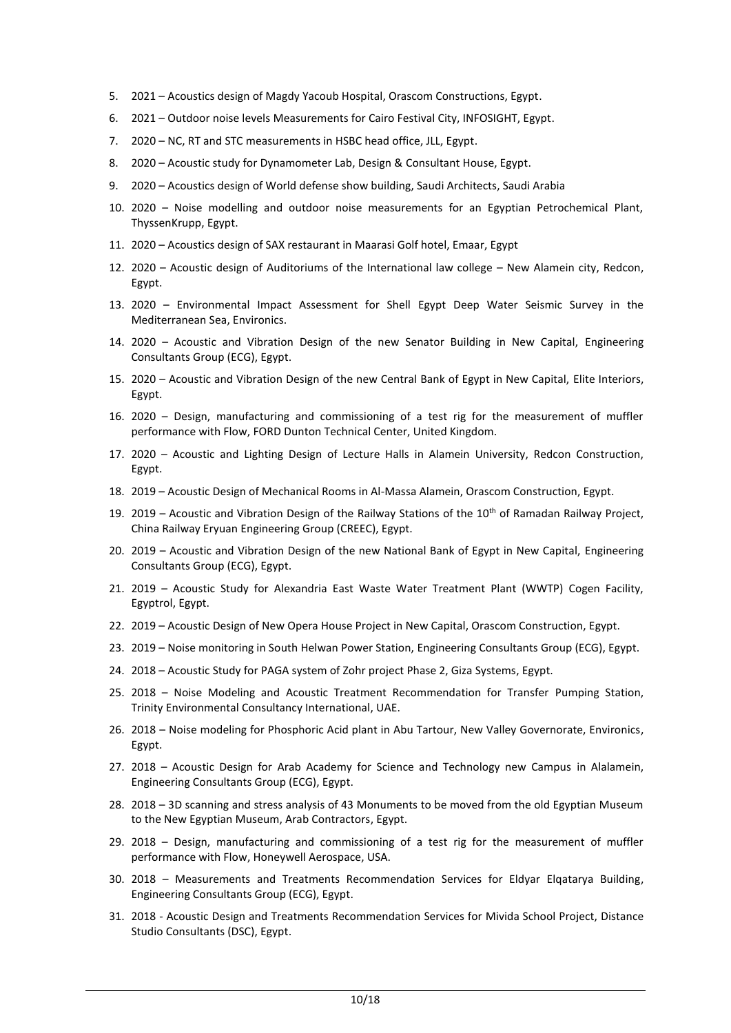- 5. 2021 Acoustics design of Magdy Yacoub Hospital, Orascom Constructions, Egypt.
- 6. 2021 Outdoor noise levels Measurements for Cairo Festival City, INFOSIGHT, Egypt.
- 7. 2020 NC, RT and STC measurements in HSBC head office, JLL, Egypt.
- 8. 2020 Acoustic study for Dynamometer Lab, Design & Consultant House, Egypt.
- 9. 2020 Acoustics design of World defense show building, Saudi Architects, Saudi Arabia
- 10. 2020 Noise modelling and outdoor noise measurements for an Egyptian Petrochemical Plant, ThyssenKrupp, Egypt.
- 11. 2020 Acoustics design of SAX restaurant in Maarasi Golf hotel, Emaar, Egypt
- 12. 2020 Acoustic design of Auditoriums of the International law college New Alamein city, Redcon, Egypt.
- 13. 2020 Environmental Impact Assessment for Shell Egypt Deep Water Seismic Survey in the Mediterranean Sea, Environics.
- 14. 2020 Acoustic and Vibration Design of the new Senator Building in New Capital, Engineering Consultants Group (ECG), Egypt.
- 15. 2020 Acoustic and Vibration Design of the new Central Bank of Egypt in New Capital, Elite Interiors, Egypt.
- 16. 2020 Design, manufacturing and commissioning of a test rig for the measurement of muffler performance with Flow, FORD Dunton Technical Center, United Kingdom.
- 17. 2020 Acoustic and Lighting Design of Lecture Halls in Alamein University, Redcon Construction, Egypt.
- 18. 2019 Acoustic Design of Mechanical Rooms in Al-Massa Alamein, Orascom Construction, Egypt.
- 19. 2019 Acoustic and Vibration Design of the Railway Stations of the  $10^{th}$  of Ramadan Railway Project, China Railway Eryuan Engineering Group (CREEC), Egypt.
- 20. 2019 Acoustic and Vibration Design of the new National Bank of Egypt in New Capital, Engineering Consultants Group (ECG), Egypt.
- 21. 2019 Acoustic Study for Alexandria East Waste Water Treatment Plant (WWTP) Cogen Facility, Egyptrol, Egypt.
- 22. 2019 Acoustic Design of New Opera House Project in New Capital, Orascom Construction, Egypt.
- 23. 2019 Noise monitoring in South Helwan Power Station, Engineering Consultants Group (ECG), Egypt.
- 24. 2018 Acoustic Study for PAGA system of Zohr project Phase 2, Giza Systems, Egypt.
- 25. 2018 Noise Modeling and Acoustic Treatment Recommendation for Transfer Pumping Station, Trinity Environmental Consultancy International, UAE.
- 26. 2018 Noise modeling for Phosphoric Acid plant in Abu Tartour, New Valley Governorate, Environics, Egypt.
- 27. 2018 Acoustic Design for Arab Academy for Science and Technology new Campus in Alalamein, Engineering Consultants Group (ECG), Egypt.
- 28. 2018 3D scanning and stress analysis of 43 Monuments to be moved from the old Egyptian Museum to the New Egyptian Museum, Arab Contractors, Egypt.
- 29. 2018 Design, manufacturing and commissioning of a test rig for the measurement of muffler performance with Flow, Honeywell Aerospace, USA.
- 30. 2018 Measurements and Treatments Recommendation Services for Eldyar Elqatarya Building, Engineering Consultants Group (ECG), Egypt.
- 31. 2018 Acoustic Design and Treatments Recommendation Services for Mivida School Project, Distance Studio Consultants (DSC), Egypt.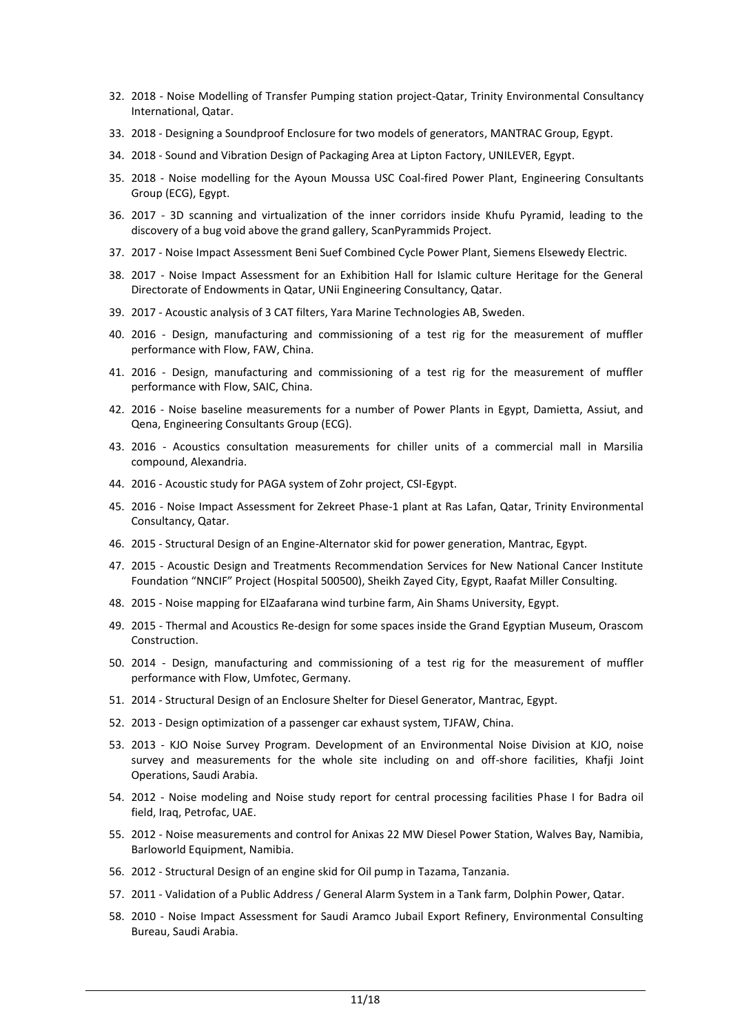- 32. 2018 Noise Modelling of Transfer Pumping station project-Qatar, Trinity Environmental Consultancy International, Qatar.
- 33. 2018 Designing a Soundproof Enclosure for two models of generators, MANTRAC Group, Egypt.
- 34. 2018 Sound and Vibration Design of Packaging Area at Lipton Factory, UNILEVER, Egypt.
- 35. 2018 Noise modelling for the Ayoun Moussa USC Coal-fired Power Plant, Engineering Consultants Group (ECG), Egypt.
- 36. 2017 3D scanning and virtualization of the inner corridors inside Khufu Pyramid, leading to the discovery of a bug void above the grand gallery, ScanPyrammids Project.
- 37. 2017 Noise Impact Assessment Beni Suef Combined Cycle Power Plant, Siemens Elsewedy Electric.
- 38. 2017 Noise Impact Assessment for an Exhibition Hall for Islamic culture Heritage for the General Directorate of Endowments in Qatar, UNii Engineering Consultancy, Qatar.
- 39. 2017 Acoustic analysis of 3 CAT filters, Yara Marine Technologies AB, Sweden.
- 40. 2016 Design, manufacturing and commissioning of a test rig for the measurement of muffler performance with Flow, FAW, China.
- 41. 2016 Design, manufacturing and commissioning of a test rig for the measurement of muffler performance with Flow, SAIC, China.
- 42. 2016 Noise baseline measurements for a number of Power Plants in Egypt, Damietta, Assiut, and Qena, Engineering Consultants Group (ECG).
- 43. 2016 Acoustics consultation measurements for chiller units of a commercial mall in Marsilia compound, Alexandria.
- 44. 2016 Acoustic study for PAGA system of Zohr project, CSI-Egypt.
- 45. 2016 Noise Impact Assessment for Zekreet Phase-1 plant at Ras Lafan, Qatar, Trinity Environmental Consultancy, Qatar.
- 46. 2015 Structural Design of an Engine-Alternator skid for power generation, Mantrac, Egypt.
- 47. 2015 Acoustic Design and Treatments Recommendation Services for New National Cancer Institute Foundation "NNCIF" Project (Hospital 500500), Sheikh Zayed City, Egypt, Raafat Miller Consulting.
- 48. 2015 Noise mapping for ElZaafarana wind turbine farm, Ain Shams University, Egypt.
- 49. 2015 Thermal and Acoustics Re-design for some spaces inside the Grand Egyptian Museum, Orascom Construction.
- 50. 2014 Design, manufacturing and commissioning of a test rig for the measurement of muffler performance with Flow, Umfotec, Germany.
- 51. 2014 Structural Design of an Enclosure Shelter for Diesel Generator, Mantrac, Egypt.
- 52. 2013 Design optimization of a passenger car exhaust system, TJFAW, China.
- 53. 2013 KJO Noise Survey Program. Development of an Environmental Noise Division at KJO, noise survey and measurements for the whole site including on and off-shore facilities, Khafji Joint Operations, Saudi Arabia.
- 54. 2012 Noise modeling and Noise study report for central processing facilities Phase I for Badra oil field, Iraq, Petrofac, UAE.
- 55. 2012 Noise measurements and control for Anixas 22 MW Diesel Power Station, Walves Bay, Namibia, Barloworld Equipment, Namibia.
- 56. 2012 Structural Design of an engine skid for Oil pump in Tazama, Tanzania.
- 57. 2011 Validation of a Public Address / General Alarm System in a Tank farm, Dolphin Power, Qatar.
- 58. 2010 Noise Impact Assessment for Saudi Aramco Jubail Export Refinery, Environmental Consulting Bureau, Saudi Arabia.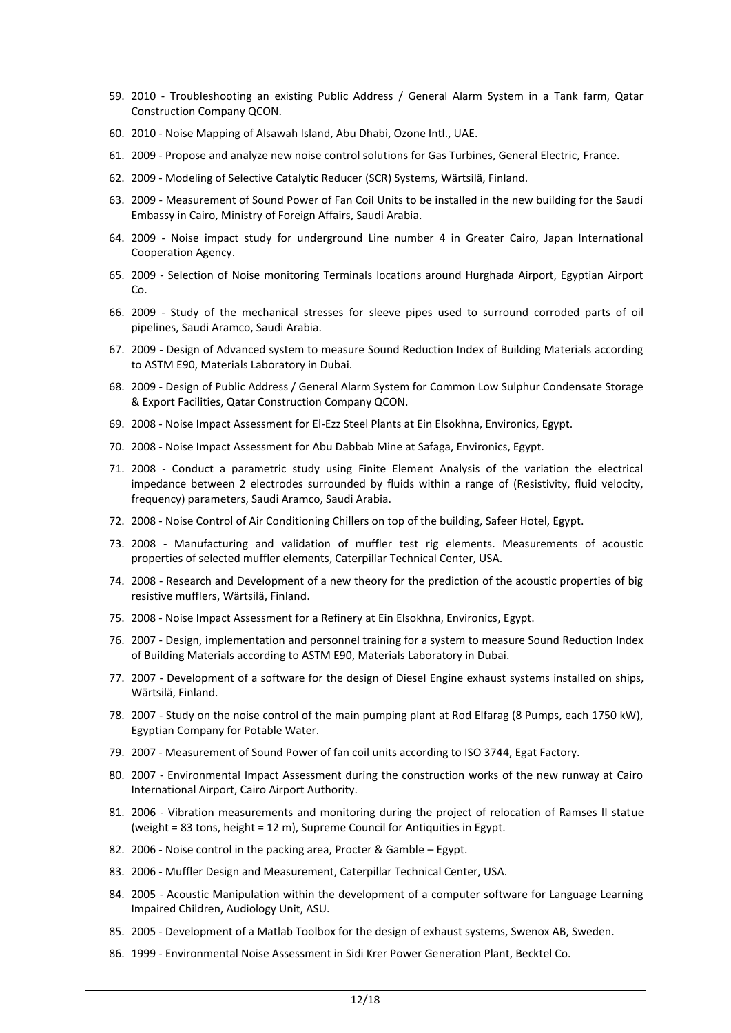- 59. 2010 Troubleshooting an existing Public Address / General Alarm System in a Tank farm, Qatar Construction Company QCON.
- 60. 2010 Noise Mapping of Alsawah Island, Abu Dhabi, Ozone Intl., UAE.
- 61. 2009 Propose and analyze new noise control solutions for Gas Turbines, General Electric, France.
- 62. 2009 Modeling of Selective Catalytic Reducer (SCR) Systems, Wärtsilä, Finland.
- 63. 2009 Measurement of Sound Power of Fan Coil Units to be installed in the new building for the Saudi Embassy in Cairo, Ministry of Foreign Affairs, Saudi Arabia.
- 64. 2009 Noise impact study for underground Line number 4 in Greater Cairo, Japan International Cooperation Agency.
- 65. 2009 Selection of Noise monitoring Terminals locations around Hurghada Airport, Egyptian Airport Co.
- 66. 2009 Study of the mechanical stresses for sleeve pipes used to surround corroded parts of oil pipelines, Saudi Aramco, Saudi Arabia.
- 67. 2009 Design of Advanced system to measure Sound Reduction Index of Building Materials according to ASTM E90, Materials Laboratory in Dubai.
- 68. 2009 Design of Public Address / General Alarm System for Common Low Sulphur Condensate Storage & Export Facilities, Qatar Construction Company QCON.
- 69. 2008 Noise Impact Assessment for El-Ezz Steel Plants at Ein Elsokhna, Environics, Egypt.
- 70. 2008 Noise Impact Assessment for Abu Dabbab Mine at Safaga, Environics, Egypt.
- 71. 2008 Conduct a parametric study using Finite Element Analysis of the variation the electrical impedance between 2 electrodes surrounded by fluids within a range of (Resistivity, fluid velocity, frequency) parameters, Saudi Aramco, Saudi Arabia.
- 72. 2008 Noise Control of Air Conditioning Chillers on top of the building, Safeer Hotel, Egypt.
- 73. 2008 Manufacturing and validation of muffler test rig elements. Measurements of acoustic properties of selected muffler elements, Caterpillar Technical Center, USA.
- 74. 2008 Research and Development of a new theory for the prediction of the acoustic properties of big resistive mufflers, Wärtsilä, Finland.
- 75. 2008 Noise Impact Assessment for a Refinery at Ein Elsokhna, Environics, Egypt.
- 76. 2007 Design, implementation and personnel training for a system to measure Sound Reduction Index of Building Materials according to ASTM E90, Materials Laboratory in Dubai.
- 77. 2007 Development of a software for the design of Diesel Engine exhaust systems installed on ships, Wärtsilä, Finland.
- 78. 2007 Study on the noise control of the main pumping plant at Rod Elfarag (8 Pumps, each 1750 kW), Egyptian Company for Potable Water.
- 79. 2007 Measurement of Sound Power of fan coil units according to ISO 3744, Egat Factory.
- 80. 2007 Environmental Impact Assessment during the construction works of the new runway at Cairo International Airport, Cairo Airport Authority.
- 81. 2006 Vibration measurements and monitoring during the project of relocation of Ramses II statue (weight = 83 tons, height = 12 m), Supreme Council for Antiquities in Egypt.
- 82. 2006 Noise control in the packing area, Procter & Gamble Egypt.
- 83. 2006 Muffler Design and Measurement, Caterpillar Technical Center, USA.
- 84. 2005 Acoustic Manipulation within the development of a computer software for Language Learning Impaired Children, Audiology Unit, ASU.
- 85. 2005 Development of a Matlab Toolbox for the design of exhaust systems, Swenox AB, Sweden.
- 86. 1999 Environmental Noise Assessment in Sidi Krer Power Generation Plant, Becktel Co.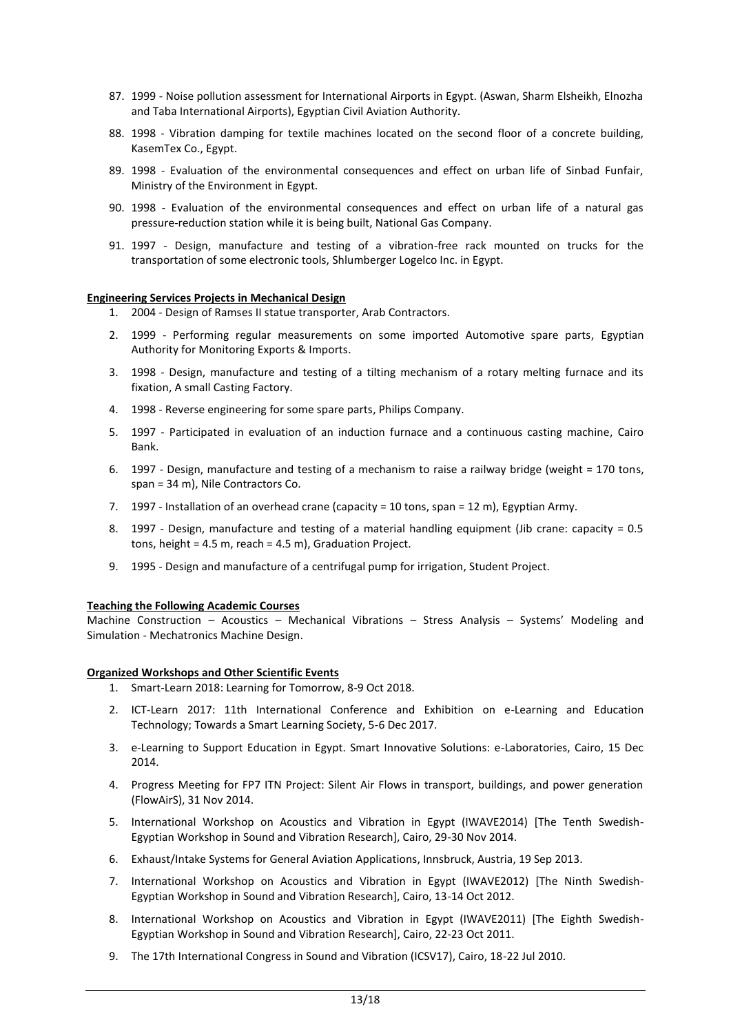- 87. 1999 Noise pollution assessment for International Airports in Egypt. (Aswan, Sharm Elsheikh, Elnozha and Taba International Airports), Egyptian Civil Aviation Authority.
- 88. 1998 Vibration damping for textile machines located on the second floor of a concrete building, KasemTex Co., Egypt.
- 89. 1998 Evaluation of the environmental consequences and effect on urban life of Sinbad Funfair, Ministry of the Environment in Egypt.
- 90. 1998 Evaluation of the environmental consequences and effect on urban life of a natural gas pressure-reduction station while it is being built, National Gas Company.
- 91. 1997 Design, manufacture and testing of a vibration-free rack mounted on trucks for the transportation of some electronic tools, Shlumberger Logelco Inc. in Egypt.

### **Engineering Services Projects in Mechanical Design**

- 1. 2004 Design of Ramses II statue transporter, Arab Contractors.
- 2. 1999 Performing regular measurements on some imported Automotive spare parts, Egyptian Authority for Monitoring Exports & Imports.
- 3. 1998 Design, manufacture and testing of a tilting mechanism of a rotary melting furnace and its fixation, A small Casting Factory.
- 4. 1998 Reverse engineering for some spare parts, Philips Company.
- 5. 1997 Participated in evaluation of an induction furnace and a continuous casting machine, Cairo Bank.
- 6. 1997 Design, manufacture and testing of a mechanism to raise a railway bridge (weight = 170 tons, span = 34 m), Nile Contractors Co.
- 7. 1997 Installation of an overhead crane (capacity = 10 tons, span = 12 m), Egyptian Army.
- 8. 1997 Design, manufacture and testing of a material handling equipment (Jib crane: capacity = 0.5 tons, height = 4.5 m, reach = 4.5 m), Graduation Project.
- 9. 1995 Design and manufacture of a centrifugal pump for irrigation, Student Project.

## **Teaching the Following Academic Courses**

Machine Construction – Acoustics – Mechanical Vibrations – Stress Analysis – Systems' Modeling and Simulation - Mechatronics Machine Design.

### **Organized Workshops and Other Scientific Events**

- 1. Smart-Learn 2018: Learning for Tomorrow, 8-9 Oct 2018.
- 2. ICT-Learn 2017: 11th International Conference and Exhibition on e-Learning and Education Technology; Towards a Smart Learning Society, 5-6 Dec 2017.
- 3. e-Learning to Support Education in Egypt. Smart Innovative Solutions: e-Laboratories, Cairo, 15 Dec 2014.
- 4. Progress Meeting for FP7 ITN Project: Silent Air Flows in transport, buildings, and power generation (FlowAirS), 31 Nov 2014.
- 5. International Workshop on Acoustics and Vibration in Egypt (IWAVE2014) [The Tenth Swedish-Egyptian Workshop in Sound and Vibration Research], Cairo, 29-30 Nov 2014.
- 6. Exhaust/Intake Systems for General Aviation Applications, Innsbruck, Austria, 19 Sep 2013.
- 7. International Workshop on Acoustics and Vibration in Egypt (IWAVE2012) [The Ninth Swedish-Egyptian Workshop in Sound and Vibration Research], Cairo, 13-14 Oct 2012.
- 8. International Workshop on Acoustics and Vibration in Egypt (IWAVE2011) [The Eighth Swedish-Egyptian Workshop in Sound and Vibration Research], Cairo, 22-23 Oct 2011.
- 9. The 17th International Congress in Sound and Vibration (ICSV17), Cairo, 18-22 Jul 2010.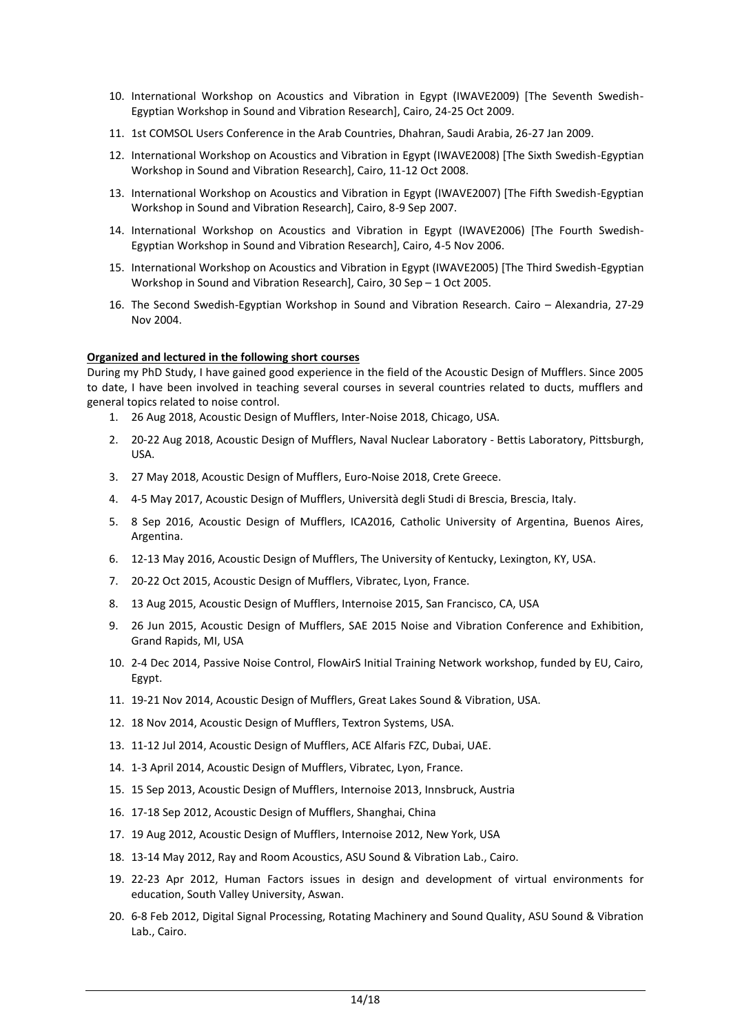- 10. International Workshop on Acoustics and Vibration in Egypt (IWAVE2009) [The Seventh Swedish-Egyptian Workshop in Sound and Vibration Research], Cairo, 24-25 Oct 2009.
- 11. 1st COMSOL Users Conference in the Arab Countries, Dhahran, Saudi Arabia, 26-27 Jan 2009.
- 12. International Workshop on Acoustics and Vibration in Egypt (IWAVE2008) [The Sixth Swedish-Egyptian Workshop in Sound and Vibration Research], Cairo, 11-12 Oct 2008.
- 13. International Workshop on Acoustics and Vibration in Egypt (IWAVE2007) [The Fifth Swedish-Egyptian Workshop in Sound and Vibration Research], Cairo, 8-9 Sep 2007.
- 14. International Workshop on Acoustics and Vibration in Egypt (IWAVE2006) [The Fourth Swedish-Egyptian Workshop in Sound and Vibration Research], Cairo, 4-5 Nov 2006.
- 15. International Workshop on Acoustics and Vibration in Egypt (IWAVE2005) [The Third Swedish-Egyptian Workshop in Sound and Vibration Research], Cairo, 30 Sep – 1 Oct 2005.
- 16. The Second Swedish-Egyptian Workshop in Sound and Vibration Research. Cairo Alexandria, 27-29 Nov 2004.

## **Organized and lectured in the following short courses**

During my PhD Study, I have gained good experience in the field of the Acoustic Design of Mufflers. Since 2005 to date, I have been involved in teaching several courses in several countries related to ducts, mufflers and general topics related to noise control.

- 1. 26 Aug 2018, Acoustic Design of Mufflers, Inter-Noise 2018, Chicago, USA.
- 2. 20-22 Aug 2018, Acoustic Design of Mufflers, Naval Nuclear Laboratory Bettis Laboratory, Pittsburgh, USA.
- 3. 27 May 2018, Acoustic Design of Mufflers, Euro-Noise 2018, Crete Greece.
- 4. 4-5 May 2017, Acoustic Design of Mufflers, Università degli Studi di Brescia, Brescia, Italy.
- 5. 8 Sep 2016, Acoustic Design of Mufflers, ICA2016, Catholic University of Argentina, Buenos Aires, Argentina.
- 6. 12-13 May 2016, Acoustic Design of Mufflers, The University of Kentucky, Lexington, KY, USA.
- 7. 20-22 Oct 2015, Acoustic Design of Mufflers, Vibratec, Lyon, France.
- 8. 13 Aug 2015, Acoustic Design of Mufflers, Internoise 2015, San Francisco, CA, USA
- 9. 26 Jun 2015, Acoustic Design of Mufflers, SAE 2015 Noise and Vibration Conference and Exhibition, Grand Rapids, MI, USA
- 10. 2-4 Dec 2014, Passive Noise Control, FlowAirS Initial Training Network workshop, funded by EU, Cairo, Egypt.
- 11. 19-21 Nov 2014, Acoustic Design of Mufflers, Great Lakes Sound & Vibration, USA.
- 12. 18 Nov 2014, Acoustic Design of Mufflers, Textron Systems, USA.
- 13. 11-12 Jul 2014, Acoustic Design of Mufflers, ACE Alfaris FZC, Dubai, UAE.
- 14. 1-3 April 2014, Acoustic Design of Mufflers, Vibratec, Lyon, France.
- 15. 15 Sep 2013, Acoustic Design of Mufflers, Internoise 2013, Innsbruck, Austria
- 16. 17-18 Sep 2012, Acoustic Design of Mufflers, Shanghai, China
- 17. 19 Aug 2012, Acoustic Design of Mufflers, Internoise 2012, New York, USA
- 18. 13-14 May 2012, Ray and Room Acoustics, ASU Sound & Vibration Lab., Cairo.
- 19. 22-23 Apr 2012, Human Factors issues in design and development of virtual environments for education, South Valley University, Aswan.
- 20. 6-8 Feb 2012, Digital Signal Processing, Rotating Machinery and Sound Quality, ASU Sound & Vibration Lab., Cairo.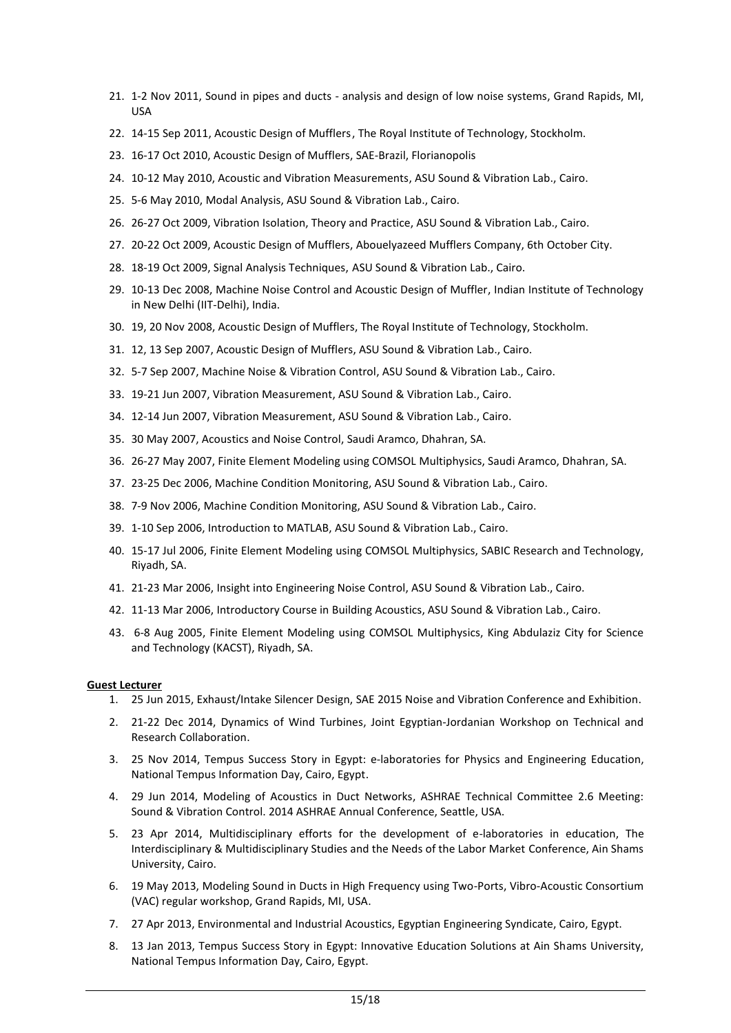- 21. 1-2 Nov 2011, Sound in pipes and ducts analysis and design of low noise systems, Grand Rapids, MI, USA
- 22. 14-15 Sep 2011, Acoustic Design of Mufflers, The Royal Institute of Technology, Stockholm.
- 23. 16-17 Oct 2010, Acoustic Design of Mufflers, SAE-Brazil, Florianopolis
- 24. 10-12 May 2010, Acoustic and Vibration Measurements, ASU Sound & Vibration Lab., Cairo.
- 25. 5-6 May 2010, Modal Analysis, ASU Sound & Vibration Lab., Cairo.
- 26. 26-27 Oct 2009, Vibration Isolation, Theory and Practice, ASU Sound & Vibration Lab., Cairo.
- 27. 20-22 Oct 2009, Acoustic Design of Mufflers, Abouelyazeed Mufflers Company, 6th October City.
- 28. 18-19 Oct 2009, Signal Analysis Techniques, ASU Sound & Vibration Lab., Cairo.
- 29. 10-13 Dec 2008, Machine Noise Control and Acoustic Design of Muffler, Indian Institute of Technology in New Delhi (IIT-Delhi), India.
- 30. 19, 20 Nov 2008, Acoustic Design of Mufflers, The Royal Institute of Technology, Stockholm.
- 31. 12, 13 Sep 2007, Acoustic Design of Mufflers, ASU Sound & Vibration Lab., Cairo.
- 32. 5-7 Sep 2007, Machine Noise & Vibration Control, ASU Sound & Vibration Lab., Cairo.
- 33. 19-21 Jun 2007, Vibration Measurement, ASU Sound & Vibration Lab., Cairo.
- 34. 12-14 Jun 2007, Vibration Measurement, ASU Sound & Vibration Lab., Cairo.
- 35. 30 May 2007, Acoustics and Noise Control, Saudi Aramco, Dhahran, SA.
- 36. 26-27 May 2007, Finite Element Modeling using COMSOL Multiphysics, Saudi Aramco, Dhahran, SA.
- 37. 23-25 Dec 2006, Machine Condition Monitoring, ASU Sound & Vibration Lab., Cairo.
- 38. 7-9 Nov 2006, Machine Condition Monitoring, ASU Sound & Vibration Lab., Cairo.
- 39. 1-10 Sep 2006, Introduction to MATLAB, ASU Sound & Vibration Lab., Cairo.
- 40. 15-17 Jul 2006, Finite Element Modeling using COMSOL Multiphysics, SABIC Research and Technology, Riyadh, SA.
- 41. 21-23 Mar 2006, Insight into Engineering Noise Control, ASU Sound & Vibration Lab., Cairo.
- 42. 11-13 Mar 2006, Introductory Course in Building Acoustics, ASU Sound & Vibration Lab., Cairo.
- 43. 6-8 Aug 2005, Finite Element Modeling using COMSOL Multiphysics, King Abdulaziz City for Science and Technology (KACST), Riyadh, SA.

### **Guest Lecturer**

- 1. 25 Jun 2015, Exhaust/Intake Silencer Design, SAE 2015 Noise and Vibration Conference and Exhibition.
- 2. 21-22 Dec 2014, Dynamics of Wind Turbines, Joint Egyptian-Jordanian Workshop on Technical and Research Collaboration.
- 3. 25 Nov 2014, Tempus Success Story in Egypt: e-laboratories for Physics and Engineering Education, National Tempus Information Day, Cairo, Egypt.
- 4. 29 Jun 2014, Modeling of Acoustics in Duct Networks, ASHRAE Technical Committee 2.6 Meeting: Sound & Vibration Control. 2014 ASHRAE Annual Conference, Seattle, USA.
- 5. 23 Apr 2014, Multidisciplinary efforts for the development of e-laboratories in education, The Interdisciplinary & Multidisciplinary Studies and the Needs of the Labor Market Conference, Ain Shams University, Cairo.
- 6. 19 May 2013, Modeling Sound in Ducts in High Frequency using Two-Ports, Vibro-Acoustic Consortium (VAC) regular workshop, Grand Rapids, MI, USA.
- 7. 27 Apr 2013, Environmental and Industrial Acoustics, Egyptian Engineering Syndicate, Cairo, Egypt.
- 8. 13 Jan 2013, Tempus Success Story in Egypt: Innovative Education Solutions at Ain Shams University, National Tempus Information Day, Cairo, Egypt.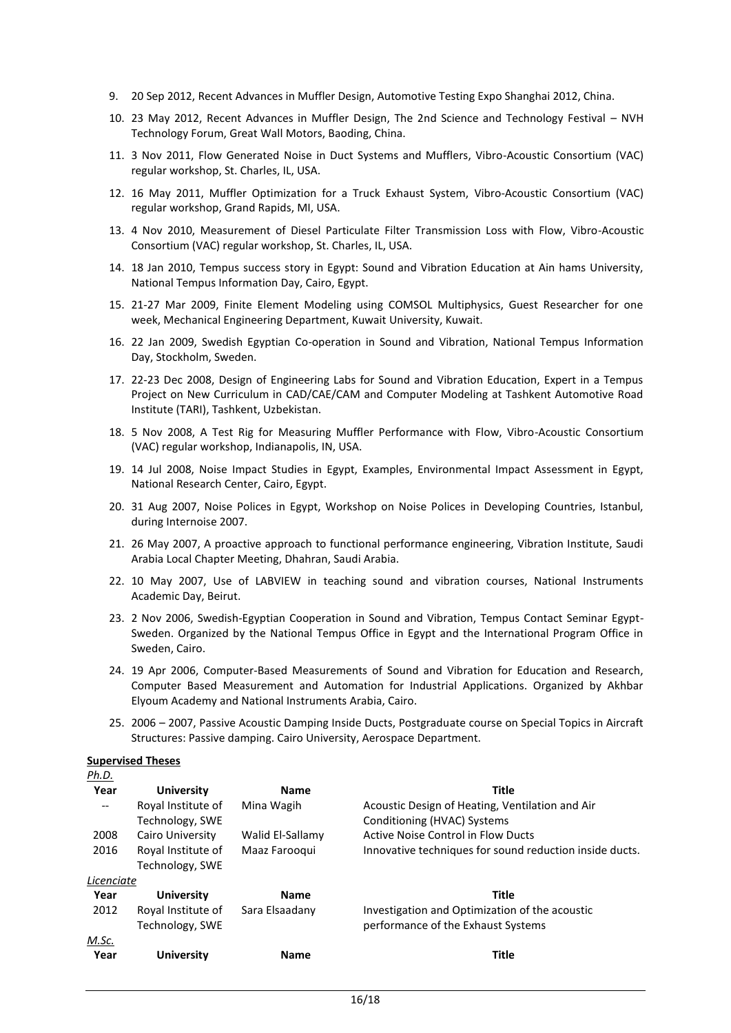- 9. 20 Sep 2012, Recent Advances in Muffler Design, Automotive Testing Expo Shanghai 2012, China.
- 10. 23 May 2012, Recent Advances in Muffler Design, The 2nd Science and Technology Festival NVH Technology Forum, Great Wall Motors, Baoding, China.
- 11. 3 Nov 2011, Flow Generated Noise in Duct Systems and Mufflers, Vibro-Acoustic Consortium (VAC) regular workshop, St. Charles, IL, USA.
- 12. 16 May 2011, Muffler Optimization for a Truck Exhaust System, Vibro-Acoustic Consortium (VAC) regular workshop, Grand Rapids, MI, USA.
- 13. 4 Nov 2010, Measurement of Diesel Particulate Filter Transmission Loss with Flow, Vibro-Acoustic Consortium (VAC) regular workshop, St. Charles, IL, USA.
- 14. 18 Jan 2010, Tempus success story in Egypt: Sound and Vibration Education at Ain hams University, National Tempus Information Day, Cairo, Egypt.
- 15. 21-27 Mar 2009, Finite Element Modeling using COMSOL Multiphysics, Guest Researcher for one week, Mechanical Engineering Department, Kuwait University, Kuwait.
- 16. 22 Jan 2009, Swedish Egyptian Co-operation in Sound and Vibration, National Tempus Information Day, Stockholm, Sweden.
- 17. 22-23 Dec 2008, Design of Engineering Labs for Sound and Vibration Education, Expert in a Tempus Project on New Curriculum in CAD/CAE/CAM and Computer Modeling at Tashkent Automotive Road Institute (TARI), Tashkent, Uzbekistan.
- 18. 5 Nov 2008, A Test Rig for Measuring Muffler Performance with Flow, Vibro-Acoustic Consortium (VAC) regular workshop, Indianapolis, IN, USA.
- 19. 14 Jul 2008, Noise Impact Studies in Egypt, Examples, Environmental Impact Assessment in Egypt, National Research Center, Cairo, Egypt.
- 20. 31 Aug 2007, Noise Polices in Egypt, Workshop on Noise Polices in Developing Countries, Istanbul, during Internoise 2007.
- 21. 26 May 2007, A proactive approach to functional performance engineering, Vibration Institute, Saudi Arabia Local Chapter Meeting, Dhahran, Saudi Arabia.
- 22. 10 May 2007, Use of LABVIEW in teaching sound and vibration courses, National Instruments Academic Day, Beirut.
- 23. 2 Nov 2006, Swedish-Egyptian Cooperation in Sound and Vibration, Tempus Contact Seminar Egypt-Sweden. Organized by the National Tempus Office in Egypt and the International Program Office in Sweden, Cairo.
- 24. 19 Apr 2006, Computer-Based Measurements of Sound and Vibration for Education and Research, Computer Based Measurement and Automation for Industrial Applications. Organized by Akhbar Elyoum Academy and National Instruments Arabia, Cairo.
- 25. 2006 2007, Passive Acoustic Damping Inside Ducts, Postgraduate course on Special Topics in Aircraft Structures: Passive damping. Cairo University, Aerospace Department.

#### **Supervised Theses**

|--|--|--|--|--|--|

| Year                     | <b>University</b>  | <b>Name</b>      | Title                                                   |
|--------------------------|--------------------|------------------|---------------------------------------------------------|
| $\overline{\phantom{a}}$ | Royal Institute of | Mina Wagih       | Acoustic Design of Heating, Ventilation and Air         |
|                          | Technology, SWE    |                  | Conditioning (HVAC) Systems                             |
| 2008                     | Cairo University   | Walid El-Sallamy | Active Noise Control in Flow Ducts                      |
| 2016                     | Royal Institute of | Maaz Farooqui    | Innovative techniques for sound reduction inside ducts. |
|                          | Technology, SWE    |                  |                                                         |
| Licenciate               |                    |                  |                                                         |
| Year                     | University         | <b>Name</b>      | <b>Title</b>                                            |
| 2012                     | Royal Institute of | Sara Elsaadany   | Investigation and Optimization of the acoustic          |
|                          | Technology, SWE    |                  | performance of the Exhaust Systems                      |
| M.Sc.                    |                    |                  |                                                         |
| Year                     | <b>University</b>  | <b>Name</b>      | Title                                                   |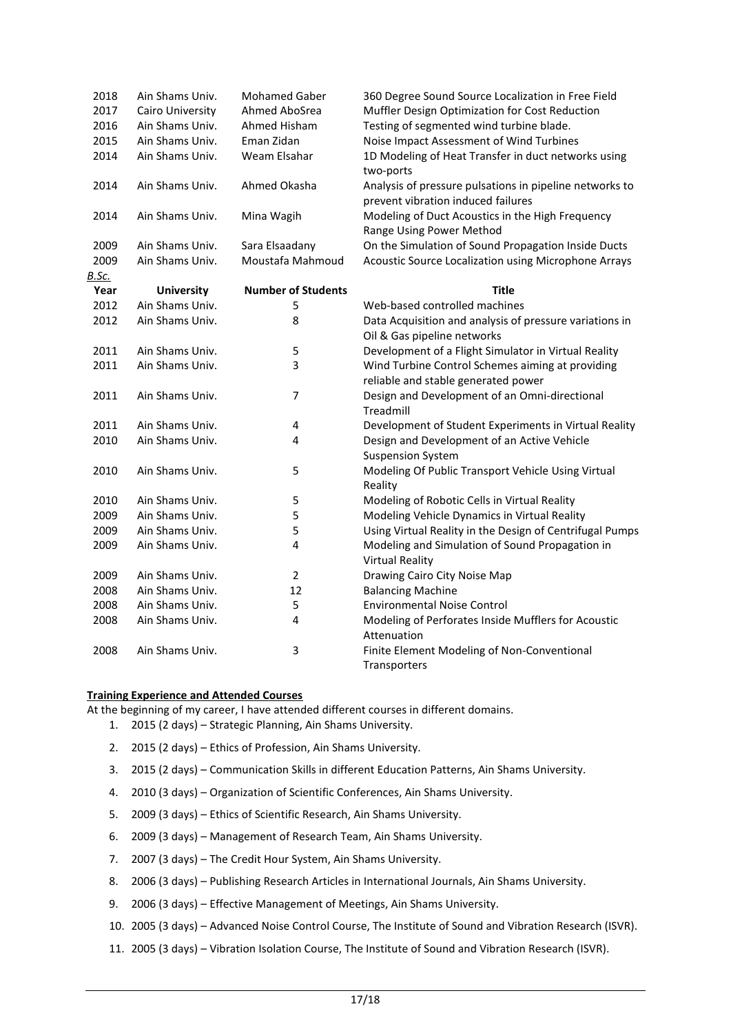| 2018         | Ain Shams Univ.   | <b>Mohamed Gaber</b>      | 360 Degree Sound Source Localization in Free Field       |
|--------------|-------------------|---------------------------|----------------------------------------------------------|
| 2017         | Cairo University  | Ahmed AboSrea             | Muffler Design Optimization for Cost Reduction           |
| 2016         | Ain Shams Univ.   | Ahmed Hisham              | Testing of segmented wind turbine blade.                 |
| 2015         | Ain Shams Univ.   | Eman Zidan                | Noise Impact Assessment of Wind Turbines                 |
| 2014         | Ain Shams Univ.   | Weam Elsahar              | 1D Modeling of Heat Transfer in duct networks using      |
|              |                   |                           | two-ports                                                |
| 2014         | Ain Shams Univ.   | Ahmed Okasha              | Analysis of pressure pulsations in pipeline networks to  |
|              |                   |                           | prevent vibration induced failures                       |
| 2014         | Ain Shams Univ.   | Mina Wagih                | Modeling of Duct Acoustics in the High Frequency         |
|              |                   |                           | Range Using Power Method                                 |
| 2009         | Ain Shams Univ.   | Sara Elsaadany            | On the Simulation of Sound Propagation Inside Ducts      |
| 2009         | Ain Shams Univ.   | Moustafa Mahmoud          | Acoustic Source Localization using Microphone Arrays     |
| <b>B.Sc.</b> |                   |                           |                                                          |
| Year         | <b>University</b> | <b>Number of Students</b> | <b>Title</b>                                             |
| 2012         | Ain Shams Univ.   | 5                         | Web-based controlled machines                            |
| 2012         | Ain Shams Univ.   | 8                         | Data Acquisition and analysis of pressure variations in  |
|              |                   |                           | Oil & Gas pipeline networks                              |
| 2011         | Ain Shams Univ.   | 5                         | Development of a Flight Simulator in Virtual Reality     |
| 2011         | Ain Shams Univ.   | 3                         | Wind Turbine Control Schemes aiming at providing         |
|              |                   |                           | reliable and stable generated power                      |
| 2011         | Ain Shams Univ.   | $\overline{7}$            | Design and Development of an Omni-directional            |
|              |                   |                           | Treadmill                                                |
| 2011         | Ain Shams Univ.   | 4                         | Development of Student Experiments in Virtual Reality    |
| 2010         | Ain Shams Univ.   | 4                         | Design and Development of an Active Vehicle              |
|              |                   |                           | <b>Suspension System</b>                                 |
| 2010         | Ain Shams Univ.   | 5                         | Modeling Of Public Transport Vehicle Using Virtual       |
|              |                   |                           | Reality                                                  |
| 2010         | Ain Shams Univ.   | 5                         | Modeling of Robotic Cells in Virtual Reality             |
| 2009         | Ain Shams Univ.   | 5                         | Modeling Vehicle Dynamics in Virtual Reality             |
| 2009         | Ain Shams Univ.   | 5                         | Using Virtual Reality in the Design of Centrifugal Pumps |
| 2009         | Ain Shams Univ.   | 4                         | Modeling and Simulation of Sound Propagation in          |
|              |                   |                           | <b>Virtual Reality</b>                                   |
| 2009         | Ain Shams Univ.   | $\overline{2}$            | Drawing Cairo City Noise Map                             |
| 2008         | Ain Shams Univ.   | 12                        | <b>Balancing Machine</b>                                 |
| 2008         | Ain Shams Univ.   | 5                         | <b>Environmental Noise Control</b>                       |
| 2008         | Ain Shams Univ.   | 4                         | Modeling of Perforates Inside Mufflers for Acoustic      |
|              |                   |                           | Attenuation                                              |
| 2008         | Ain Shams Univ.   | 3                         | Finite Element Modeling of Non-Conventional              |
|              |                   |                           | Transporters                                             |
|              |                   |                           |                                                          |

### **Training Experience and Attended Courses**

At the beginning of my career, I have attended different courses in different domains.

- 1. 2015 (2 days) Strategic Planning, Ain Shams University.
- 2. 2015 (2 days) Ethics of Profession, Ain Shams University.
- 3. 2015 (2 days) Communication Skills in different Education Patterns, Ain Shams University.
- 4. 2010 (3 days) Organization of Scientific Conferences, Ain Shams University.
- 5. 2009 (3 days) Ethics of Scientific Research, Ain Shams University.
- 6. 2009 (3 days) Management of Research Team, Ain Shams University.
- 7. 2007 (3 days) The Credit Hour System, Ain Shams University.
- 8. 2006 (3 days) Publishing Research Articles in International Journals, Ain Shams University.
- 9. 2006 (3 days) Effective Management of Meetings, Ain Shams University.
- 10. 2005 (3 days) Advanced Noise Control Course, The Institute of Sound and Vibration Research (ISVR).
- 11. 2005 (3 days) Vibration Isolation Course, The Institute of Sound and Vibration Research (ISVR).